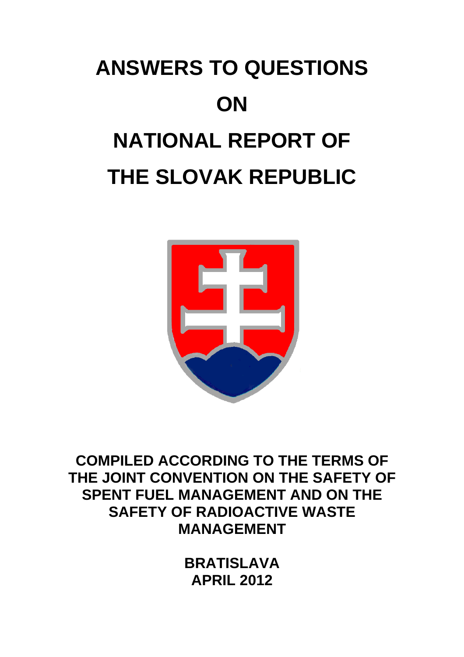# **ANSWERS TO QUESTIONS ON NATIONAL REPORT OF THE SLOVAK REPUBLIC**



**COMPILED ACCORDING TO THE TERMS OF THE JOINT CONVENTION ON THE SAFETY OF SPENT FUEL MANAGEMENT AND ON THE SAFETY OF RADIOACTIVE WASTE MANAGEMENT** 

> **BRATISLAVA APRIL 2012**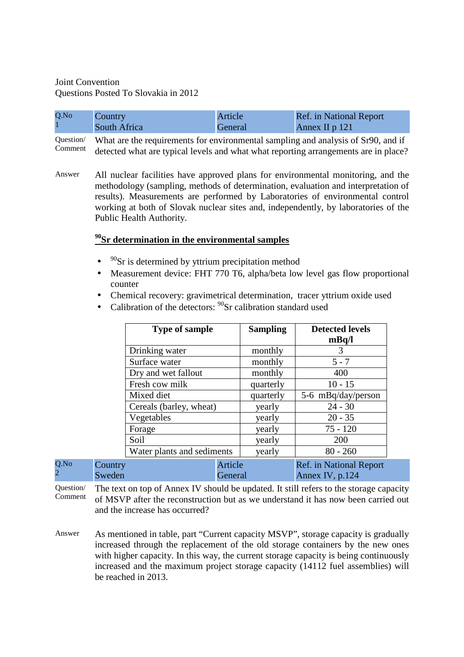# Joint Convention Questions Posted To Slovakia in 2012

Q.No 2

| Q.No | Country/     | Article | <b>Ref.</b> in National Report |
|------|--------------|---------|--------------------------------|
|      | South Africa | General | Annex II p 121                 |

Question/ Comment What are the requirements for environmental sampling and analysis of Sr90, and if detected what are typical levels and what what reporting arrangements are in place?

Answer All nuclear facilities have approved plans for environmental monitoring, and the methodology (sampling, methods of determination, evaluation and interpretation of results). Measurements are performed by Laboratories of environmental control working at both of Slovak nuclear sites and, independently, by laboratories of the Public Health Authority.

## **<sup>90</sup>Sr determination in the environmental samples**

- $90$ Sr is determined by yttrium precipitation method
- Measurement device: FHT 770 T6, alpha/beta low level gas flow proportional counter
- Chemical recovery: gravimetrical determination, tracer yttrium oxide used
- Calibration of the detectors:  $90$ Sr calibration standard used

|                   | <b>Type of sample</b>      |                    | <b>Sampling</b> | <b>Detected levels</b><br>mBq/l                   |
|-------------------|----------------------------|--------------------|-----------------|---------------------------------------------------|
|                   | Drinking water             |                    | monthly         | 3                                                 |
|                   | Surface water              |                    | monthly         | $5 - 7$                                           |
|                   | Dry and wet fallout        |                    | monthly         | 400                                               |
|                   | Fresh cow milk             |                    | quarterly       | $10 - 15$                                         |
|                   | Mixed diet                 |                    | quarterly       | 5-6 mBq/day/person                                |
|                   | Cereals (barley, wheat)    |                    | yearly          | $24 - 30$                                         |
|                   | Vegetables                 |                    | yearly          | $20 - 35$                                         |
|                   | Forage                     |                    | yearly          | $75 - 120$                                        |
|                   | Soil                       |                    | yearly          | 200                                               |
|                   | Water plants and sediments |                    | yearly          | $80 - 260$                                        |
| Country<br>Sweden |                            | Article<br>General |                 | <b>Ref.</b> in National Report<br>Annex IV, p.124 |

Question/ Comment The text on top of Annex IV should be updated. It still refers to the storage capacity of MSVP after the reconstruction but as we understand it has now been carried out and the increase has occurred?

Answer As mentioned in table, part "Current capacity MSVP", storage capacity is gradually increased through the replacement of the old storage containers by the new ones with higher capacity. In this way, the current storage capacity is being continuously increased and the maximum project storage capacity (14112 fuel assemblies) will be reached in 2013.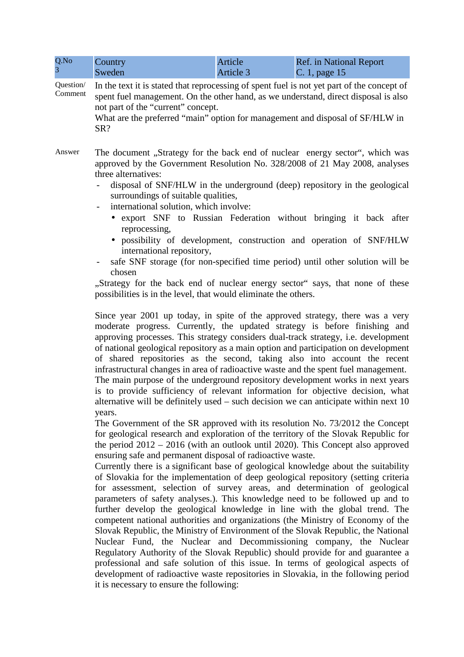| Q.No<br>$\overline{3}$ | Country<br>Sweden                                                                                                                                                                                                                                                                                                                                                                                                                                                                                                                                                                                                                                                                                                                                                                                                                                                                                                                                                                                                                                                                  | Article<br>Article 3 | <b>Ref.</b> in National Report<br>C. 1, page 15                                                                                                      |  |  |
|------------------------|------------------------------------------------------------------------------------------------------------------------------------------------------------------------------------------------------------------------------------------------------------------------------------------------------------------------------------------------------------------------------------------------------------------------------------------------------------------------------------------------------------------------------------------------------------------------------------------------------------------------------------------------------------------------------------------------------------------------------------------------------------------------------------------------------------------------------------------------------------------------------------------------------------------------------------------------------------------------------------------------------------------------------------------------------------------------------------|----------------------|------------------------------------------------------------------------------------------------------------------------------------------------------|--|--|
| Question/<br>Comment   | In the text it is stated that reprocessing of spent fuel is not yet part of the concept of<br>spent fuel management. On the other hand, as we understand, direct disposal is also<br>not part of the "current" concept.<br>What are the preferred "main" option for management and disposal of SF/HLW in<br>SR?                                                                                                                                                                                                                                                                                                                                                                                                                                                                                                                                                                                                                                                                                                                                                                    |                      |                                                                                                                                                      |  |  |
| Answer                 | The document "Strategy for the back end of nuclear energy sector", which was<br>approved by the Government Resolution No. 328/2008 of 21 May 2008, analyses<br>three alternatives:<br>disposal of SNF/HLW in the underground (deep) repository in the geological<br>surroundings of suitable qualities,<br>international solution, which involve:<br>$\overline{\phantom{0}}$<br>• export SNF to Russian Federation without bringing it back after                                                                                                                                                                                                                                                                                                                                                                                                                                                                                                                                                                                                                                 |                      |                                                                                                                                                      |  |  |
|                        | reprocessing,<br>international repository,<br>chosen<br>"Strategy for the back end of nuclear energy sector" says, that none of these<br>possibilities is in the level, that would eliminate the others.                                                                                                                                                                                                                                                                                                                                                                                                                                                                                                                                                                                                                                                                                                                                                                                                                                                                           |                      | · possibility of development, construction and operation of SNF/HLW<br>safe SNF storage (for non-specified time period) until other solution will be |  |  |
|                        | Since year 2001 up today, in spite of the approved strategy, there was a very<br>moderate progress. Currently, the updated strategy is before finishing and<br>approving processes. This strategy considers dual-track strategy, i.e. development<br>of national geological repository as a main option and participation on development<br>of shared repositories as the second, taking also into account the recent<br>infrastructural changes in area of radioactive waste and the spent fuel management.<br>The main purpose of the underground repository development works in next years<br>is to provide sufficiency of relevant information for objective decision, what<br>alternative will be definitely used – such decision we can anticipate within next 10<br>years.                                                                                                                                                                                                                                                                                                 |                      |                                                                                                                                                      |  |  |
|                        | The Government of the SR approved with its resolution No. 73/2012 the Concept<br>for geological research and exploration of the territory of the Slovak Republic for<br>the period $2012 - 2016$ (with an outlook until 2020). This Concept also approved<br>ensuring safe and permanent disposal of radioactive waste.<br>Currently there is a significant base of geological knowledge about the suitability<br>of Slovakia for the implementation of deep geological repository (setting criteria<br>for assessment, selection of survey areas, and determination of geological<br>parameters of safety analyses.). This knowledge need to be followed up and to<br>further develop the geological knowledge in line with the global trend. The<br>competent national authorities and organizations (the Ministry of Economy of the<br>Slovak Republic, the Ministry of Environment of the Slovak Republic, the National<br>Nuclear Fund, the Nuclear and Decommissioning company, the Nuclear<br>Deculatory Authority of the Claudi Depublic) should provide for and quarantee |                      |                                                                                                                                                      |  |  |

Regulatory Authority of the Slovak Republic) should provide for and guarantee a professional and safe solution of this issue. In terms of geological aspects of development of radioactive waste repositories in Slovakia, in the following period it is necessary to ensure the following: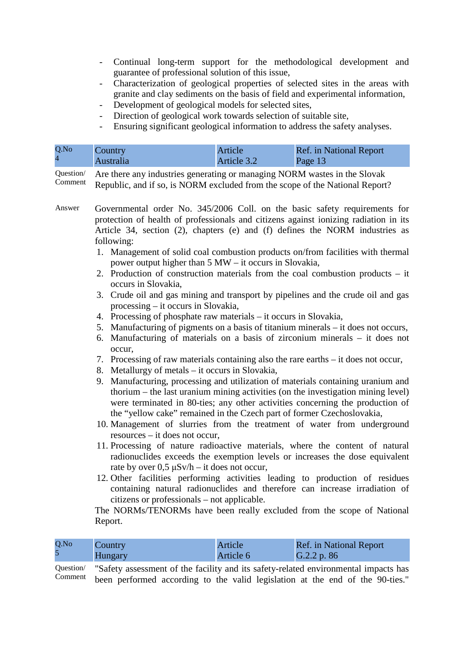- Continual long-term support for the methodological development and guarantee of professional solution of this issue,
- Characterization of geological properties of selected sites in the areas with granite and clay sediments on the basis of field and experimental information,
- Development of geological models for selected sites,
- Direction of geological work towards selection of suitable site,
- Ensuring significant geological information to address the safety analyses.

| Q.No           | Country   | Article     | Ref. in National Report |
|----------------|-----------|-------------|-------------------------|
| $\overline{4}$ | Australia | Article 3.2 | Page 13                 |

Question/ Comment Are there any industries generating or managing NORM wastes in the Slovak Republic, and if so, is NORM excluded from the scope of the National Report?

- Answer Governmental order No. 345/2006 Coll. on the basic safety requirements for protection of health of professionals and citizens against ionizing radiation in its Article 34, section (2), chapters (e) and (f) defines the NORM industries as following:
	- 1. Management of solid coal combustion products on/from facilities with thermal power output higher than 5 MW – it occurs in Slovakia,
	- 2. Production of construction materials from the coal combustion products it occurs in Slovakia,
	- 3. Crude oil and gas mining and transport by pipelines and the crude oil and gas processing – it occurs in Slovakia,
	- 4. Processing of phosphate raw materials it occurs in Slovakia,
	- 5. Manufacturing of pigments on a basis of titanium minerals it does not occurs,
	- 6. Manufacturing of materials on a basis of zirconium minerals it does not occur,
	- 7. Processing of raw materials containing also the rare earths it does not occur,
	- 8. Metallurgy of metals it occurs in Slovakia,
	- 9. Manufacturing, processing and utilization of materials containing uranium and thorium – the last uranium mining activities (on the investigation mining level) were terminated in 80-ties; any other activities concerning the production of the "yellow cake" remained in the Czech part of former Czechoslovakia,
	- 10. Management of slurries from the treatment of water from underground resources – it does not occur,
	- 11. Processing of nature radioactive materials, where the content of natural radionuclides exceeds the exemption levels or increases the dose equivalent rate by over  $0.5 \mu Sv/h - it$  does not occur,
	- 12. Other facilities performing activities leading to production of residues containing natural radionuclides and therefore can increase irradiation of citizens or professionals – not applicable.

The NORMs/TENORMs have been really excluded from the scope of National Report.

| Q.No | Country | Article   | <b>Ref.</b> in National Report |
|------|---------|-----------|--------------------------------|
|      | Hungary | Article 6 | G.2.2 p. 86                    |
|      |         |           |                                |

Question/ Comment "Safety assessment of the facility and its safety-related environmental impacts has been performed according to the valid legislation at the end of the 90-ties."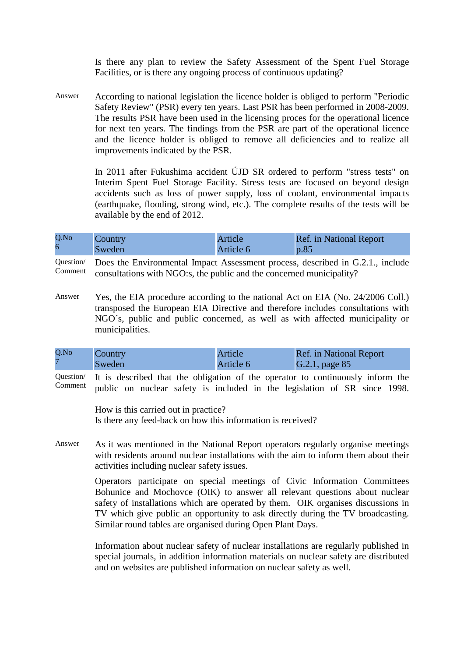Is there any plan to review the Safety Assessment of the Spent Fuel Storage Facilities, or is there any ongoing process of continuous updating?

Answer According to national legislation the licence holder is obliged to perform "Periodic Safety Review" (PSR) every ten years. Last PSR has been performed in 2008-2009. The results PSR have been used in the licensing proces for the operational licence for next ten years. The findings from the PSR are part of the operational licence and the licence holder is obliged to remove all deficiencies and to realize all improvements indicated by the PSR.

> In 2011 after Fukushima accident ÚJD SR ordered to perform "stress tests" on Interim Spent Fuel Storage Facility. Stress tests are focused on beyond design accidents such as loss of power supply, loss of coolant, environmental impacts (earthquake, flooding, strong wind, etc.). The complete results of the tests will be available by the end of 2012.

| Q.No | Country | Article   | <b>Ref.</b> in National Report |
|------|---------|-----------|--------------------------------|
| 6    | Sweden  | Article 6 | p.85                           |

Question/ Comment Does the Environmental Impact Assessment process, described in G.2.1., include consultations with NGO:s, the public and the concerned municipality?

Answer Yes, the EIA procedure according to the national Act on EIA (No. 24/2006 Coll.) transposed the European EIA Directive and therefore includes consultations with NGO´s, public and public concerned, as well as with affected municipality or municipalities.

| Q.No | Country | Article   | <b>Ref.</b> in National Report |
|------|---------|-----------|--------------------------------|
|      | Sweden  | Article 6 | $G.2.1$ , page 85              |

Question/ Comment It is described that the obligation of the operator to continuously inform the public on nuclear safety is included in the legislation of SR since 1998.

> How is this carried out in practice? Is there any feed-back on how this information is received?

Answer As it was mentioned in the National Report operators regularly organise meetings with residents around nuclear installations with the aim to inform them about their activities including nuclear safety issues.

> Operators participate on special meetings of Civic Information Committees Bohunice and Mochovce (OIK) to answer all relevant questions about nuclear safety of installations which are operated by them. OIK organises discussions in TV which give public an opportunity to ask directly during the TV broadcasting. Similar round tables are organised during Open Plant Days.

> Information about nuclear safety of nuclear installations are regularly published in special journals, in addition information materials on nuclear safety are distributed and on websites are published information on nuclear safety as well.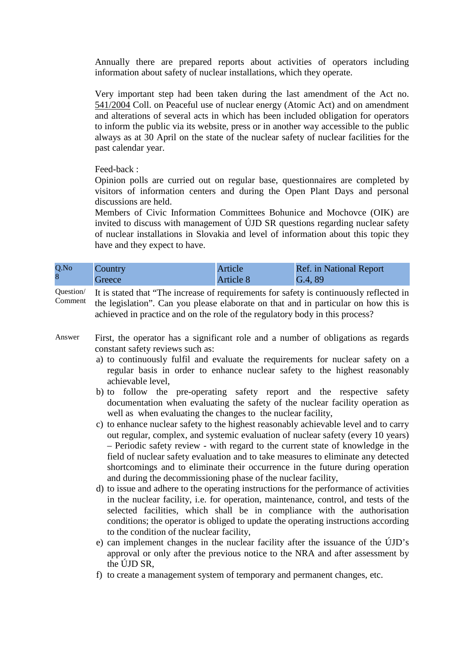Annually there are prepared reports about activities of operators including information about safety of nuclear installations, which they operate.

Very important step had been taken during the last amendment of the Act no. 541/2004 Coll. on Peaceful use of nuclear energy (Atomic Act) and on amendment and alterations of several acts in which has been included obligation for operators to inform the public via its website, press or in another way accessible to the public always as at 30 April on the state of the nuclear safety of nuclear facilities for the past calendar year.

Feed-back :

Opinion polls are curried out on regular base, questionnaires are completed by visitors of information centers and during the Open Plant Days and personal discussions are held.

Members of Civic Information Committees Bohunice and Mochovce (OIK) are invited to discuss with management of ÚJD SR questions regarding nuclear safety of nuclear installations in Slovakia and level of information about this topic they have and they expect to have.

| Q.No | Country | Article          | Ref. in National Report |
|------|---------|------------------|-------------------------|
| 8    | Greece  | <b>Article 8</b> | G.4, 89                 |

Question/ Comment It is stated that "The increase of requirements for safety is continuously reflected in the legislation". Can you please elaborate on that and in particular on how this is achieved in practice and on the role of the regulatory body in this process?

- Answer First, the operator has a significant role and a number of obligations as regards constant safety reviews such as:
	- a) to continuously fulfil and evaluate the requirements for nuclear safety on a regular basis in order to enhance nuclear safety to the highest reasonably achievable level,
	- b) to follow the pre-operating safety report and the respective safety documentation when evaluating the safety of the nuclear facility operation as well as when evaluating the changes to the nuclear facility,
	- c) to enhance nuclear safety to the highest reasonably achievable level and to carry out regular, complex, and systemic evaluation of nuclear safety (every 10 years) – Periodic safety review - with regard to the current state of knowledge in the field of nuclear safety evaluation and to take measures to eliminate any detected shortcomings and to eliminate their occurrence in the future during operation and during the decommissioning phase of the nuclear facility,
	- d) to issue and adhere to the operating instructions for the performance of activities in the nuclear facility, i.e. for operation, maintenance, control, and tests of the selected facilities, which shall be in compliance with the authorisation conditions; the operator is obliged to update the operating instructions according to the condition of the nuclear facility,
	- e) can implement changes in the nuclear facility after the issuance of the ÚJD's approval or only after the previous notice to the NRA and after assessment by the ÚJD SR,
	- f) to create a management system of temporary and permanent changes, etc.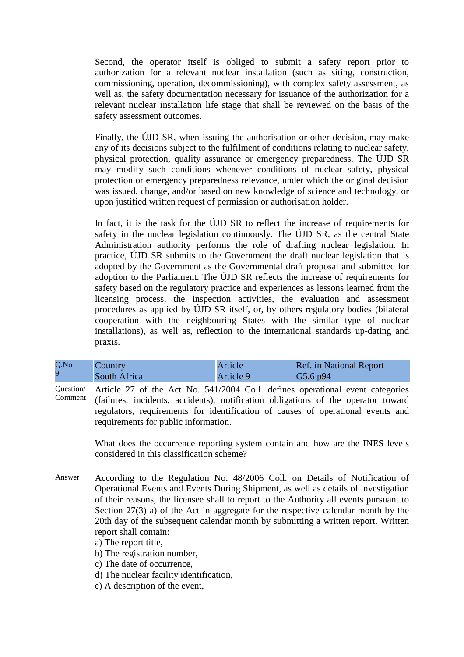Second, the operator itself is obliged to submit a safety report prior to authorization for a relevant nuclear installation (such as siting, construction, commissioning, operation, decommissioning), with complex safety assessment, as well as, the safety documentation necessary for issuance of the authorization for a relevant nuclear installation life stage that shall be reviewed on the basis of the safety assessment outcomes.

Finally, the ÚJD SR, when issuing the authorisation or other decision, may make any of its decisions subject to the fulfilment of conditions relating to nuclear safety, physical protection, quality assurance or emergency preparedness. The ÚJD SR may modify such conditions whenever conditions of nuclear safety, physical protection or emergency preparedness relevance, under which the original decision was issued, change, and/or based on new knowledge of science and technology, or upon justified written request of permission or authorisation holder.

In fact, it is the task for the ÚJD SR to reflect the increase of requirements for safety in the nuclear legislation continuously. The ÚJD SR, as the central State Administration authority performs the role of drafting nuclear legislation. In practice, ÚJD SR submits to the Government the draft nuclear legislation that is adopted by the Government as the Governmental draft proposal and submitted for adoption to the Parliament. The ÚJD SR reflects the increase of requirements for safety based on the regulatory practice and experiences as lessons learned from the licensing process, the inspection activities, the evaluation and assessment procedures as applied by ÚJD SR itself, or, by others regulatory bodies (bilateral cooperation with the neighbouring States with the similar type of nuclear installations), as well as, reflection to the international standards up-dating and praxis.

| Q.No | Country      | Article   | Ref. in National Report |
|------|--------------|-----------|-------------------------|
|      | South Africa | Article 9 | G5.6 p94                |

Question/ Comment Article 27 of the Act No. 541/2004 Coll. defines operational event categories (failures, incidents, accidents), notification obligations of the operator toward regulators, requirements for identification of causes of operational events and requirements for public information.

> What does the occurrence reporting system contain and how are the INES levels considered in this classification scheme?

- Answer According to the Regulation No. 48/2006 Coll. on Details of Notification of Operational Events and Events During Shipment, as well as details of investigation of their reasons, the licensee shall to report to the Authority all events pursuant to Section 27(3) a) of the Act in aggregate for the respective calendar month by the 20th day of the subsequent calendar month by submitting a written report. Written report shall contain:
	- a) The report title,

b) The registration number,

c) The date of occurrence,

d) The nuclear facility identification,

e) A description of the event,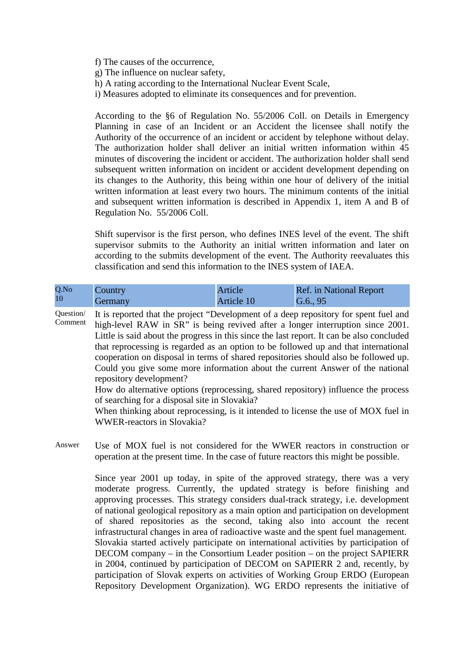f) The causes of the occurrence,

g) The influence on nuclear safety,

h) A rating according to the International Nuclear Event Scale,

i) Measures adopted to eliminate its consequences and for prevention.

According to the §6 of Regulation No. 55/2006 Coll. on Details in Emergency Planning in case of an Incident or an Accident the licensee shall notify the Authority of the occurrence of an incident or accident by telephone without delay. The authorization holder shall deliver an initial written information within 45 minutes of discovering the incident or accident. The authorization holder shall send subsequent written information on incident or accident development depending on its changes to the Authority, this being within one hour of delivery of the initial written information at least every two hours. The minimum contents of the initial and subsequent written information is described in Appendix 1, item A and B of Regulation No. 55/2006 Coll.

Shift supervisor is the first person, who defines INES level of the event. The shift supervisor submits to the Authority an initial written information and later on according to the submits development of the event. The Authority reevaluates this classification and send this information to the INES system of IAEA.

| Q.No      | Country | Article    | <b>Ref.</b> in National Report |
|-----------|---------|------------|--------------------------------|
| <b>10</b> | Germany | Article 10 | [G.6., 95]                     |

Question/ Comment It is reported that the project "Development of a deep repository for spent fuel and high-level RAW in SR" is being revived after a longer interruption since 2001. Little is said about the progress in this since the last report. It can be also concluded that reprocessing is regarded as an option to be followed up and that international cooperation on disposal in terms of shared repositories should also be followed up. Could you give some more information about the current Answer of the national repository development?

How do alternative options (reprocessing, shared repository) influence the process of searching for a disposal site in Slovakia?

When thinking about reprocessing, is it intended to license the use of MOX fuel in WWER-reactors in Slovakia?

Answer Use of MOX fuel is not considered for the WWER reactors in construction or operation at the present time. In the case of future reactors this might be possible.

> Since year 2001 up today, in spite of the approved strategy, there was a very moderate progress. Currently, the updated strategy is before finishing and approving processes. This strategy considers dual-track strategy, i.e. development of national geological repository as a main option and participation on development of shared repositories as the second, taking also into account the recent infrastructural changes in area of radioactive waste and the spent fuel management. Slovakia started actively participate on international activities by participation of DECOM company – in the Consortium Leader position – on the project SAPIERR in 2004, continued by participation of DECOM on SAPIERR 2 and, recently, by participation of Slovak experts on activities of Working Group ERDO (European Repository Development Organization). WG ERDO represents the initiative of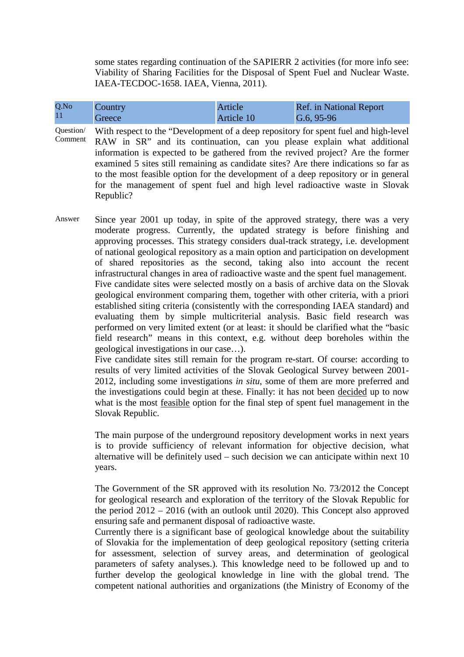some states regarding continuation of the SAPIERR 2 activities (for more info see: Viability of Sharing Facilities for the Disposal of Spent Fuel and Nuclear Waste. IAEA-TECDOC-1658. IAEA, Vienna, 2011).

| Q.No | Country | Article    | <b>Ref.</b> in National Report |
|------|---------|------------|--------------------------------|
| 11   | Greece  | Article 10 | $\sqrt{G.6, 95-96}$            |

- Question/ Comment With respect to the "Development of a deep repository for spent fuel and high-level RAW in SR" and its continuation, can you please explain what additional information is expected to be gathered from the revived project? Are the former examined 5 sites still remaining as candidate sites? Are there indications so far as to the most feasible option for the development of a deep repository or in general for the management of spent fuel and high level radioactive waste in Slovak Republic?
- Answer Since year 2001 up today, in spite of the approved strategy, there was a very moderate progress. Currently, the updated strategy is before finishing and approving processes. This strategy considers dual-track strategy, i.e. development of national geological repository as a main option and participation on development of shared repositories as the second, taking also into account the recent infrastructural changes in area of radioactive waste and the spent fuel management. Five candidate sites were selected mostly on a basis of archive data on the Slovak geological environment comparing them, together with other criteria, with a priori established siting criteria (consistently with the corresponding IAEA standard) and evaluating them by simple multicriterial analysis. Basic field research was performed on very limited extent (or at least: it should be clarified what the "basic field research" means in this context, e.g. without deep boreholes within the geological investigations in our case…).

Five candidate sites still remain for the program re-start. Of course: according to results of very limited activities of the Slovak Geological Survey between 2001- 2012, including some investigations *in situ*, some of them are more preferred and the investigations could begin at these. Finally: it has not been decided up to now what is the most feasible option for the final step of spent fuel management in the Slovak Republic.

The main purpose of the underground repository development works in next years is to provide sufficiency of relevant information for objective decision, what alternative will be definitely used – such decision we can anticipate within next 10 years.

The Government of the SR approved with its resolution No. 73/2012 the Concept for geological research and exploration of the territory of the Slovak Republic for the period 2012 – 2016 (with an outlook until 2020). This Concept also approved ensuring safe and permanent disposal of radioactive waste.

Currently there is a significant base of geological knowledge about the suitability of Slovakia for the implementation of deep geological repository (setting criteria for assessment, selection of survey areas, and determination of geological parameters of safety analyses.). This knowledge need to be followed up and to further develop the geological knowledge in line with the global trend. The competent national authorities and organizations (the Ministry of Economy of the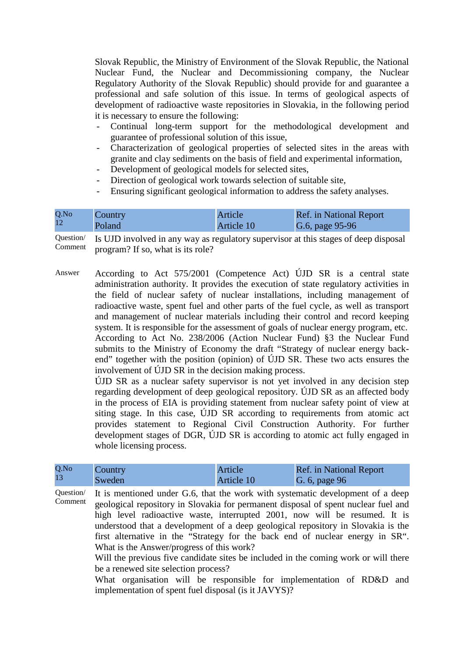Slovak Republic, the Ministry of Environment of the Slovak Republic, the National Nuclear Fund, the Nuclear and Decommissioning company, the Nuclear Regulatory Authority of the Slovak Republic) should provide for and guarantee a professional and safe solution of this issue. In terms of geological aspects of development of radioactive waste repositories in Slovakia, in the following period it is necessary to ensure the following:

- Continual long-term support for the methodological development and guarantee of professional solution of this issue,
- Characterization of geological properties of selected sites in the areas with granite and clay sediments on the basis of field and experimental information,
- Development of geological models for selected sites,
- Direction of geological work towards selection of suitable site,
- Ensuring significant geological information to address the safety analyses.

| Q.No | Country | Article    | <b>Ref.</b> in National Report |
|------|---------|------------|--------------------------------|
| 12   | Poland  | Article 10 | G.6, page 95-96                |
|      |         |            |                                |

Question/ Comment Is UJD involved in any way as regulatory supervisor at this stages of deep disposal program? If so, what is its role?

Answer According to Act 575/2001 (Competence Act) ÚJD SR is a central state administration authority. It provides the execution of state regulatory activities in the field of nuclear safety of nuclear installations, including management of radioactive waste, spent fuel and other parts of the fuel cycle, as well as transport and management of nuclear materials including their control and record keeping system. It is responsible for the assessment of goals of nuclear energy program, etc. According to Act No. 238/2006 (Action Nuclear Fund) §3 the Nuclear Fund submits to the Ministry of Economy the draft "Strategy of nuclear energy backend" together with the position (opinion) of ÚJD SR. These two acts ensures the involvement of ÚJD SR in the decision making process.

> ÚJD SR as a nuclear safety supervisor is not yet involved in any decision step regarding development of deep geological repository. ÚJD SR as an affected body in the process of EIA is providing statement from nuclear safety point of view at siting stage. In this case, ÚJD SR according to requirements from atomic act provides statement to Regional Civil Construction Authority. For further development stages of DGR, ÚJD SR is according to atomic act fully engaged in whole licensing process.

| Q.No | Country | Article    | <b>Ref.</b> in National Report |
|------|---------|------------|--------------------------------|
| 13   | Sweden  | Article 10 | G. 6, page 96                  |

Question/ Comment It is mentioned under G.6, that the work with systematic development of a deep geological repository in Slovakia for permanent disposal of spent nuclear fuel and high level radioactive waste, interrupted 2001, now will be resumed. It is understood that a development of a deep geological repository in Slovakia is the first alternative in the "Strategy for the back end of nuclear energy in SR". What is the Answer/progress of this work?

> Will the previous five candidate sites be included in the coming work or will there be a renewed site selection process?

> What organisation will be responsible for implementation of RD&D and implementation of spent fuel disposal (is it JAVYS)?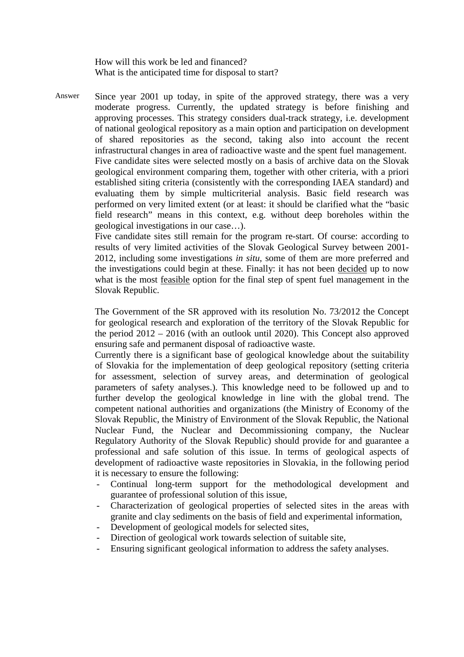How will this work be led and financed? What is the anticipated time for disposal to start?

Answer Since year 2001 up today, in spite of the approved strategy, there was a very moderate progress. Currently, the updated strategy is before finishing and approving processes. This strategy considers dual-track strategy, i.e. development of national geological repository as a main option and participation on development of shared repositories as the second, taking also into account the recent infrastructural changes in area of radioactive waste and the spent fuel management. Five candidate sites were selected mostly on a basis of archive data on the Slovak geological environment comparing them, together with other criteria, with a priori established siting criteria (consistently with the corresponding IAEA standard) and evaluating them by simple multicriterial analysis. Basic field research was performed on very limited extent (or at least: it should be clarified what the "basic field research" means in this context, e.g. without deep boreholes within the geological investigations in our case…).

Five candidate sites still remain for the program re-start. Of course: according to results of very limited activities of the Slovak Geological Survey between 2001- 2012, including some investigations *in situ*, some of them are more preferred and the investigations could begin at these. Finally: it has not been decided up to now what is the most feasible option for the final step of spent fuel management in the Slovak Republic.

The Government of the SR approved with its resolution No. 73/2012 the Concept for geological research and exploration of the territory of the Slovak Republic for the period 2012 – 2016 (with an outlook until 2020). This Concept also approved ensuring safe and permanent disposal of radioactive waste.

Currently there is a significant base of geological knowledge about the suitability of Slovakia for the implementation of deep geological repository (setting criteria for assessment, selection of survey areas, and determination of geological parameters of safety analyses.). This knowledge need to be followed up and to further develop the geological knowledge in line with the global trend. The competent national authorities and organizations (the Ministry of Economy of the Slovak Republic, the Ministry of Environment of the Slovak Republic, the National Nuclear Fund, the Nuclear and Decommissioning company, the Nuclear Regulatory Authority of the Slovak Republic) should provide for and guarantee a professional and safe solution of this issue. In terms of geological aspects of development of radioactive waste repositories in Slovakia, in the following period it is necessary to ensure the following:

- Continual long-term support for the methodological development and guarantee of professional solution of this issue,
- Characterization of geological properties of selected sites in the areas with granite and clay sediments on the basis of field and experimental information,
- Development of geological models for selected sites,
- Direction of geological work towards selection of suitable site,
- Ensuring significant geological information to address the safety analyses.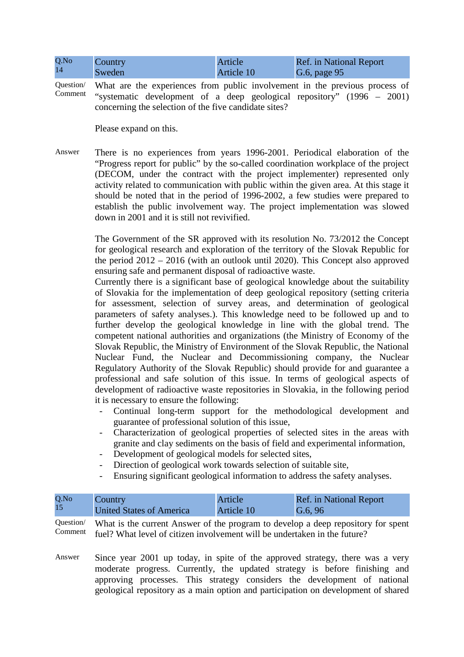| Q.No | <b>Country</b> | Article    | <b>Ref.</b> in National Report |
|------|----------------|------------|--------------------------------|
| 14   | Sweden         | Article 10 | G.6, page 95                   |

Question/ Comment What are the experiences from public involvement in the previous process of "systematic development of a deep geological repository" (1996 – 2001) concerning the selection of the five candidate sites?

Please expand on this.

Answer There is no experiences from years 1996-2001. Periodical elaboration of the "Progress report for public" by the so-called coordination workplace of the project (DECOM, under the contract with the project implementer) represented only activity related to communication with public within the given area. At this stage it should be noted that in the period of 1996-2002, a few studies were prepared to establish the public involvement way. The project implementation was slowed down in 2001 and it is still not revivified.

> The Government of the SR approved with its resolution No. 73/2012 the Concept for geological research and exploration of the territory of the Slovak Republic for the period 2012 – 2016 (with an outlook until 2020). This Concept also approved ensuring safe and permanent disposal of radioactive waste.

> Currently there is a significant base of geological knowledge about the suitability of Slovakia for the implementation of deep geological repository (setting criteria for assessment, selection of survey areas, and determination of geological parameters of safety analyses.). This knowledge need to be followed up and to further develop the geological knowledge in line with the global trend. The competent national authorities and organizations (the Ministry of Economy of the Slovak Republic, the Ministry of Environment of the Slovak Republic, the National Nuclear Fund, the Nuclear and Decommissioning company, the Nuclear Regulatory Authority of the Slovak Republic) should provide for and guarantee a professional and safe solution of this issue. In terms of geological aspects of development of radioactive waste repositories in Slovakia, in the following period it is necessary to ensure the following:

- Continual long-term support for the methodological development and guarantee of professional solution of this issue,
- Characterization of geological properties of selected sites in the areas with granite and clay sediments on the basis of field and experimental information,
- Development of geological models for selected sites,
- Direction of geological work towards selection of suitable site,
- Ensuring significant geological information to address the safety analyses.

| Q.No | Country                  | Article    | <b>Ref.</b> in National Report |
|------|--------------------------|------------|--------------------------------|
| 15   | United States of America | Article 10 | $\sqrt{G.6, 96}$               |

Question/ Comment What is the current Answer of the program to develop a deep repository for spent fuel? What level of citizen involvement will be undertaken in the future?

Answer Since year 2001 up today, in spite of the approved strategy, there was a very moderate progress. Currently, the updated strategy is before finishing and approving processes. This strategy considers the development of national geological repository as a main option and participation on development of shared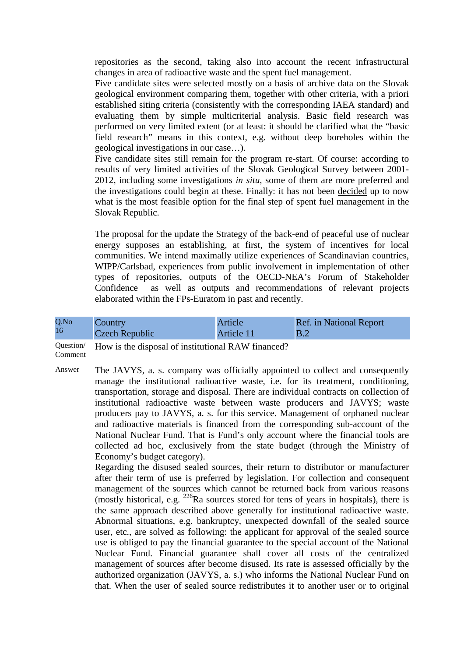repositories as the second, taking also into account the recent infrastructural changes in area of radioactive waste and the spent fuel management.

Five candidate sites were selected mostly on a basis of archive data on the Slovak geological environment comparing them, together with other criteria, with a priori established siting criteria (consistently with the corresponding IAEA standard) and evaluating them by simple multicriterial analysis. Basic field research was performed on very limited extent (or at least: it should be clarified what the "basic field research" means in this context, e.g. without deep boreholes within the geological investigations in our case…).

Five candidate sites still remain for the program re-start. Of course: according to results of very limited activities of the Slovak Geological Survey between 2001- 2012, including some investigations *in situ*, some of them are more preferred and the investigations could begin at these. Finally: it has not been decided up to now what is the most feasible option for the final step of spent fuel management in the Slovak Republic.

The proposal for the update the Strategy of the back-end of peaceful use of nuclear energy supposes an establishing, at first, the system of incentives for local communities. We intend maximally utilize experiences of Scandinavian countries, WIPP/Carlsbad, experiences from public involvement in implementation of other types of repositories, outputs of the OECD-NEA's Forum of Stakeholder Confidence as well as outputs and recommendations of relevant projects elaborated within the FPs-Euratom in past and recently.

| Q.No | Country        | Article    | <b>Ref.</b> in National Report |
|------|----------------|------------|--------------------------------|
| 16   | Czech Republic | Article 11 | B.2                            |

Question/ How is the disposal of institutional RAW financed?

Comment

Answer The JAVYS, a. s. company was officially appointed to collect and consequently manage the institutional radioactive waste, i.e. for its treatment, conditioning, transportation, storage and disposal. There are individual contracts on collection of institutional radioactive waste between waste producers and JAVYS; waste producers pay to JAVYS, a. s. for this service. Management of orphaned nuclear and radioactive materials is financed from the corresponding sub-account of the National Nuclear Fund. That is Fund's only account where the financial tools are collected ad hoc, exclusively from the state budget (through the Ministry of Economy's budget category).

> Regarding the disused sealed sources, their return to distributor or manufacturer after their term of use is preferred by legislation. For collection and consequent management of the sources which cannot be returned back from various reasons (mostly historical, e.g.  $^{226}$ Ra sources stored for tens of years in hospitals), there is the same approach described above generally for institutional radioactive waste. Abnormal situations, e.g. bankruptcy, unexpected downfall of the sealed source user, etc., are solved as following: the applicant for approval of the sealed source use is obliged to pay the financial guarantee to the special account of the National Nuclear Fund. Financial guarantee shall cover all costs of the centralized management of sources after become disused. Its rate is assessed officially by the authorized organization (JAVYS, a. s.) who informs the National Nuclear Fund on that. When the user of sealed source redistributes it to another user or to original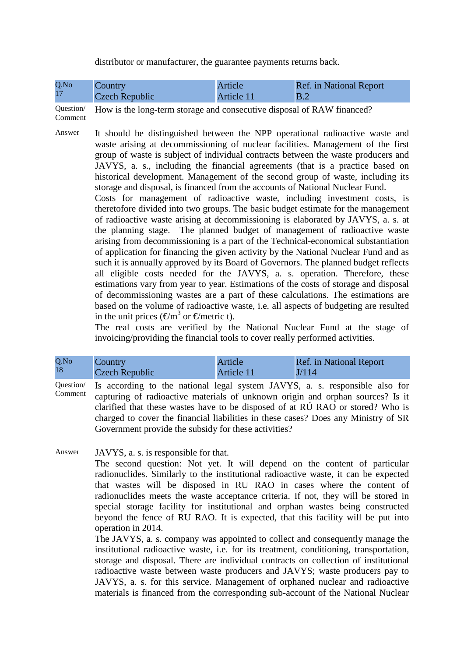distributor or manufacturer, the guarantee payments returns back.

| Q.No | Country        | Article    | <b>Ref.</b> in National Report |
|------|----------------|------------|--------------------------------|
|      | Czech Republic | Article 11 | B.2                            |

Question/ Comment

How is the long-term storage and consecutive disposal of RAW financed?

- Answer It should be distinguished between the NPP operational radioactive waste and waste arising at decommissioning of nuclear facilities. Management of the first group of waste is subject of individual contracts between the waste producers and JAVYS, a. s., including the financial agreements (that is a practice based on historical development. Management of the second group of waste, including its storage and disposal, is financed from the accounts of National Nuclear Fund.
	- Costs for management of radioactive waste, including investment costs, is theretofore divided into two groups. The basic budget estimate for the management of radioactive waste arising at decommissioning is elaborated by JAVYS, a. s. at the planning stage. The planned budget of management of radioactive waste arising from decommissioning is a part of the Technical-economical substantiation of application for financing the given activity by the National Nuclear Fund and as such it is annually approved by its Board of Governors. The planned budget reflects all eligible costs needed for the JAVYS, a. s. operation. Therefore, these estimations vary from year to year. Estimations of the costs of storage and disposal of decommissioning wastes are a part of these calculations. The estimations are based on the volume of radioactive waste, i.e. all aspects of budgeting are resulted in the unit prices ( $\epsilon/m^3$  or  $\epsilon$ /metric t).

The real costs are verified by the National Nuclear Fund at the stage of invoicing/providing the financial tools to cover really performed activities.

| Q.No | Country        | Article    | <b>Ref.</b> in National Report |
|------|----------------|------------|--------------------------------|
| 18   | Czech Republic | Article 11 | J/114                          |

Question/ Comment Is according to the national legal system JAVYS, a. s. responsible also for capturing of radioactive materials of unknown origin and orphan sources? Is it clarified that these wastes have to be disposed of at RÚ RAO or stored? Who is charged to cover the financial liabilities in these cases? Does any Ministry of SR Government provide the subsidy for these activities?

Answer JAVYS, a. s. is responsible for that.

The second question: Not yet. It will depend on the content of particular radionuclides. Similarly to the institutional radioactive waste, it can be expected that wastes will be disposed in RU RAO in cases where the content of radionuclides meets the waste acceptance criteria. If not, they will be stored in special storage facility for institutional and orphan wastes being constructed beyond the fence of RU RAO. It is expected, that this facility will be put into operation in 2014.

The JAVYS, a. s. company was appointed to collect and consequently manage the institutional radioactive waste, i.e. for its treatment, conditioning, transportation, storage and disposal. There are individual contracts on collection of institutional radioactive waste between waste producers and JAVYS; waste producers pay to JAVYS, a. s. for this service. Management of orphaned nuclear and radioactive materials is financed from the corresponding sub-account of the National Nuclear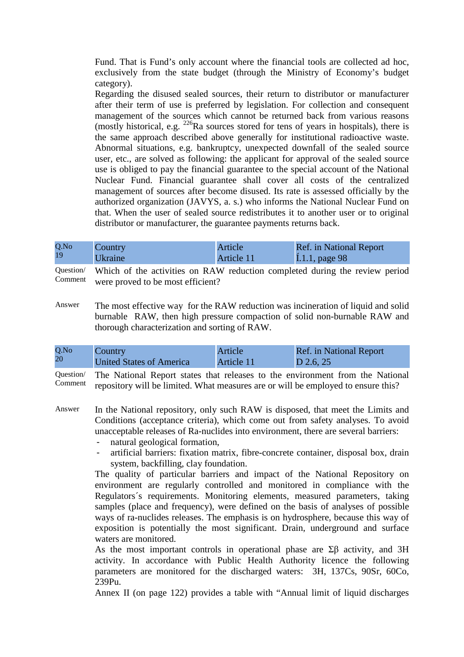Fund. That is Fund's only account where the financial tools are collected ad hoc, exclusively from the state budget (through the Ministry of Economy's budget category).

Regarding the disused sealed sources, their return to distributor or manufacturer after their term of use is preferred by legislation. For collection and consequent management of the sources which cannot be returned back from various reasons (mostly historical, e.g.  $226$ Ra sources stored for tens of years in hospitals), there is the same approach described above generally for institutional radioactive waste. Abnormal situations, e.g. bankruptcy, unexpected downfall of the sealed source user, etc., are solved as following: the applicant for approval of the sealed source use is obliged to pay the financial guarantee to the special account of the National Nuclear Fund. Financial guarantee shall cover all costs of the centralized management of sources after become disused. Its rate is assessed officially by the authorized organization (JAVYS, a. s.) who informs the National Nuclear Fund on that. When the user of sealed source redistributes it to another user or to original distributor or manufacturer, the guarantee payments returns back.

| Q.No | Country        | Article    | <b>Ref.</b> in National Report |
|------|----------------|------------|--------------------------------|
| 19   | <b>Ukraine</b> | Article 11 | [L1.1, page 98]                |

Question/ Comment Which of the activities on RAW reduction completed during the review period were proved to be most efficient?

Answer The most effective way for the RAW reduction was incineration of liquid and solid burnable RAW, then high pressure compaction of solid non-burnable RAW and thorough characterization and sorting of RAW.

| Q.No | <b>Country</b>           | Article    | <b>Ref.</b> in National Report |
|------|--------------------------|------------|--------------------------------|
| 20   | United States of America | Article 11 | $D$ 2.6, 25                    |

Question/ Comment The National Report states that releases to the environment from the National repository will be limited. What measures are or will be employed to ensure this?

- Answer In the National repository, only such RAW is disposed, that meet the Limits and Conditions (acceptance criteria), which come out from safety analyses. To avoid unacceptable releases of Ra-nuclides into environment, there are several barriers:
	- natural geological formation,
	- artificial barriers: fixation matrix, fibre-concrete container, disposal box, drain system, backfilling, clay foundation.

The quality of particular barriers and impact of the National Repository on environment are regularly controlled and monitored in compliance with the Regulators´s requirements. Monitoring elements, measured parameters, taking samples (place and frequency), were defined on the basis of analyses of possible ways of ra-nuclides releases. The emphasis is on hydrosphere, because this way of exposition is potentially the most significant. Drain, underground and surface waters are monitored.

As the most important controls in operational phase are Σβ activity, and 3H activity. In accordance with Public Health Authority licence the following parameters are monitored for the discharged waters: 3H, 137Cs, 90Sr, 60Co, 239Pu.

Annex II (on page 122) provides a table with "Annual limit of liquid discharges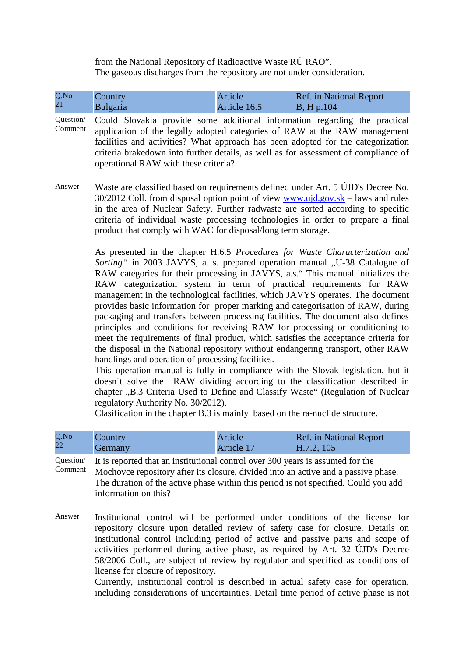from the National Repository of Radioactive Waste RÚ RAO". The gaseous discharges from the repository are not under consideration.

| Q.No<br>21           | Country<br><b>Bulgaria</b>                                                                                                                                                                                                                                                                                                                                                                                                                                                                                                                                                                                                                                                                                                                                                                                                                | Article<br>Article 16.5 | Ref. in National Report<br><b>B</b> , H p.104 |  |
|----------------------|-------------------------------------------------------------------------------------------------------------------------------------------------------------------------------------------------------------------------------------------------------------------------------------------------------------------------------------------------------------------------------------------------------------------------------------------------------------------------------------------------------------------------------------------------------------------------------------------------------------------------------------------------------------------------------------------------------------------------------------------------------------------------------------------------------------------------------------------|-------------------------|-----------------------------------------------|--|
| Question/<br>Comment | Could Slovakia provide some additional information regarding the practical<br>application of the legally adopted categories of RAW at the RAW management<br>facilities and activities? What approach has been adopted for the categorization<br>criteria brakedown into further details, as well as for assessment of compliance of<br>operational RAW with these criteria?                                                                                                                                                                                                                                                                                                                                                                                                                                                               |                         |                                               |  |
| Answer               | Waste are classified based on requirements defined under Art. 5 UJD's Decree No.<br>$30/2012$ Coll. from disposal option point of view www.ujd.gov.sk – laws and rules<br>in the area of Nuclear Safety. Further radwaste are sorted according to specific<br>criteria of individual waste processing technologies in order to prepare a final<br>product that comply with WAC for disposal/long term storage.                                                                                                                                                                                                                                                                                                                                                                                                                            |                         |                                               |  |
|                      | As presented in the chapter H.6.5 Procedures for Waste Characterization and<br>Sorting " in 2003 JAVYS, a. s. prepared operation manual "U-38 Catalogue of<br>RAW categories for their processing in JAVYS, a.s." This manual initializes the<br>RAW categorization system in term of practical requirements for RAW<br>management in the technological facilities, which JAVYS operates. The document<br>provides basic information for proper marking and categorisation of RAW, during<br>packaging and transfers between processing facilities. The document also defines<br>principles and conditions for receiving RAW for processing or conditioning to<br>meet the requirements of final product, which satisfies the acceptance criteria for<br>the disposal in the National repository without endangering transport, other RAW |                         |                                               |  |

This operation manual is fully in compliance with the Slovak legislation, but it doesn´t solve the RAW dividing according to the classification described in chapter ..B.3 Criteria Used to Define and Classify Waste" (Regulation of Nuclear regulatory Authority No. 30/2012).

Clasification in the chapter B.3 is mainly based on the ra-nuclide structure.

| Q.No | Country | Article    | <b>Ref.</b> in National Report |
|------|---------|------------|--------------------------------|
| 22   | Germany | Article 17 | H.7.2, 105                     |

handlings and operation of processing facilities.

Question/ Comment It is reported that an institutional control over 300 years is assumed for the Mochovce repository after its closure, divided into an active and a passive phase. The duration of the active phase within this period is not specified. Could you add information on this?

Answer Institutional control will be performed under conditions of the license for repository closure upon detailed review of safety case for closure. Details on institutional control including period of active and passive parts and scope of activities performed during active phase, as required by Art. 32 ÚJD's Decree 58/2006 Coll., are subject of review by regulator and specified as conditions of license for closure of repository.

Currently, institutional control is described in actual safety case for operation, including considerations of uncertainties. Detail time period of active phase is not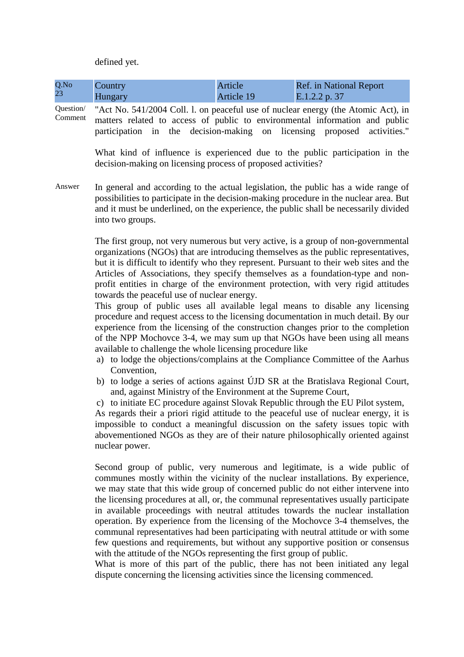defined yet.

| Q.No | <b>Country</b> | Article    | <b>Ref.</b> in National Report |
|------|----------------|------------|--------------------------------|
| 23   | Hungary        | Article 19 | E.1.2.2 p. 37                  |

Question/

Comment "Act No. 541/2004 Coll. l. on peaceful use of nuclear energy (the Atomic Act), in matters related to access of public to environmental information and public participation in the decision-making on licensing proposed activities."

> What kind of influence is experienced due to the public participation in the decision-making on licensing process of proposed activities?

Answer In general and according to the actual legislation, the public has a wide range of possibilities to participate in the decision-making procedure in the nuclear area. But and it must be underlined, on the experience, the public shall be necessarily divided into two groups.

> The first group, not very numerous but very active, is a group of non-governmental organizations (NGOs) that are introducing themselves as the public representatives, but it is difficult to identify who they represent. Pursuant to their web sites and the Articles of Associations, they specify themselves as a foundation-type and nonprofit entities in charge of the environment protection, with very rigid attitudes towards the peaceful use of nuclear energy.

> This group of public uses all available legal means to disable any licensing procedure and request access to the licensing documentation in much detail. By our experience from the licensing of the construction changes prior to the completion of the NPP Mochovce 3-4, we may sum up that NGOs have been using all means available to challenge the whole licensing procedure like

- a) to lodge the objections/complains at the Compliance Committee of the Aarhus Convention,
- b) to lodge a series of actions against ÚJD SR at the Bratislava Regional Court, and, against Ministry of the Environment at the Supreme Court,
- c) to initiate EC procedure against Slovak Republic through the EU Pilot system,

As regards their a priori rigid attitude to the peaceful use of nuclear energy, it is impossible to conduct a meaningful discussion on the safety issues topic with abovementioned NGOs as they are of their nature philosophically oriented against nuclear power.

Second group of public, very numerous and legitimate, is a wide public of communes mostly within the vicinity of the nuclear installations. By experience, we may state that this wide group of concerned public do not either intervene into the licensing procedures at all, or, the communal representatives usually participate in available proceedings with neutral attitudes towards the nuclear installation operation. By experience from the licensing of the Mochovce 3-4 themselves, the communal representatives had been participating with neutral attitude or with some few questions and requirements, but without any supportive position or consensus with the attitude of the NGOs representing the first group of public.

What is more of this part of the public, there has not been initiated any legal dispute concerning the licensing activities since the licensing commenced.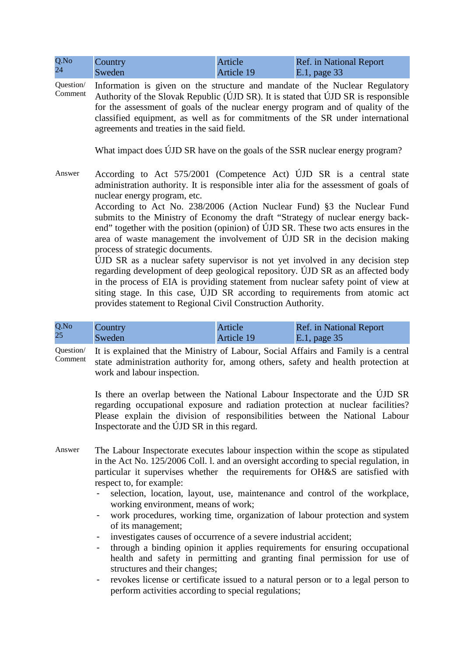| Q.No<br>24           | Country<br>Sweden                                                                                                                                                                                                                                                                                                                                                                                                                                                                                                                                                                                                                                                                                                                                                                                                                                                                                                                                                          | Article<br>Article 19 | Ref. in National Report<br>E.1, page 33 |
|----------------------|----------------------------------------------------------------------------------------------------------------------------------------------------------------------------------------------------------------------------------------------------------------------------------------------------------------------------------------------------------------------------------------------------------------------------------------------------------------------------------------------------------------------------------------------------------------------------------------------------------------------------------------------------------------------------------------------------------------------------------------------------------------------------------------------------------------------------------------------------------------------------------------------------------------------------------------------------------------------------|-----------------------|-----------------------------------------|
| Question/<br>Comment | Information is given on the structure and mandate of the Nuclear Regulatory<br>Authority of the Slovak Republic (UJD SR). It is stated that UJD SR is responsible<br>for the assessment of goals of the nuclear energy program and of quality of the<br>classified equipment, as well as for commitments of the SR under international<br>agreements and treaties in the said field.                                                                                                                                                                                                                                                                                                                                                                                                                                                                                                                                                                                       |                       |                                         |
|                      | What impact does ÚJD SR have on the goals of the SSR nuclear energy program?                                                                                                                                                                                                                                                                                                                                                                                                                                                                                                                                                                                                                                                                                                                                                                                                                                                                                               |                       |                                         |
| Answer               | According to Act 575/2001 (Competence Act) ÚJD SR is a central state<br>administration authority. It is responsible inter alia for the assessment of goals of<br>nuclear energy program, etc.<br>According to Act No. 238/2006 (Action Nuclear Fund) §3 the Nuclear Fund<br>submits to the Ministry of Economy the draft "Strategy of nuclear energy back-<br>end" together with the position (opinion) of UJD SR. These two acts ensures in the<br>area of waste management the involvement of ÚJD SR in the decision making<br>process of strategic documents.<br>UJD SR as a nuclear safety supervisor is not yet involved in any decision step<br>regarding development of deep geological repository. ÚJD SR as an affected body<br>in the process of EIA is providing statement from nuclear safety point of view at<br>siting stage. In this case, UJD SR according to requirements from atomic act<br>provides statement to Regional Civil Construction Authority. |                       |                                         |

| Q.No | Country | Article    | <b>Ref.</b> in National Report |
|------|---------|------------|--------------------------------|
| 25   | Sweden  | Article 19 | $E.1$ , page 35                |

Question/ Comment It is explained that the Ministry of Labour, Social Affairs and Family is a central state administration authority for, among others, safety and health protection at work and labour inspection.

> Is there an overlap between the National Labour Inspectorate and the ÚJD SR regarding occupational exposure and radiation protection at nuclear facilities? Please explain the division of responsibilities between the National Labour Inspectorate and the ÚJD SR in this regard.

- Answer The Labour Inspectorate executes labour inspection within the scope as stipulated in the Act No. 125/2006 Coll. l. and an oversight according to special regulation, in particular it supervises whether the requirements for OH&S are satisfied with respect to, for example:
	- selection, location, layout, use, maintenance and control of the workplace, working environment, means of work;
	- work procedures, working time, organization of labour protection and system of its management;
	- investigates causes of occurrence of a severe industrial accident;
	- through a binding opinion it applies requirements for ensuring occupational health and safety in permitting and granting final permission for use of structures and their changes;
	- revokes license or certificate issued to a natural person or to a legal person to perform activities according to special regulations;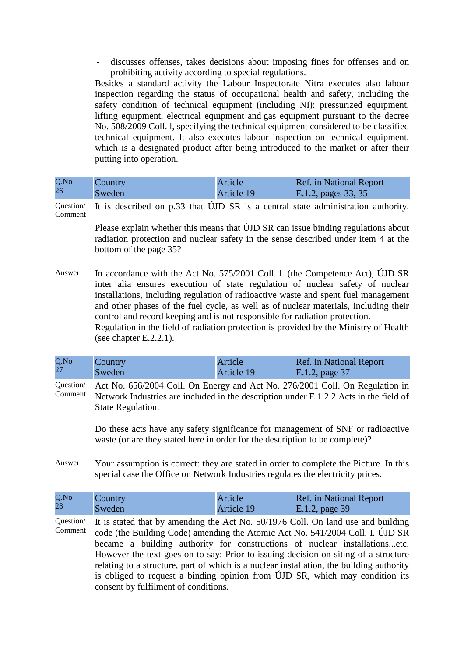discusses offenses, takes decisions about imposing fines for offenses and on prohibiting activity according to special regulations.

Besides a standard activity the Labour Inspectorate Nitra executes also labour inspection regarding the status of occupational health and safety, including the safety condition of technical equipment (including NI): pressurized equipment, lifting equipment, electrical equipment and gas equipment pursuant to the decree No. 508/2009 Coll. l, specifying the technical equipment considered to be classified technical equipment. It also executes labour inspection on technical equipment, which is a designated product after being introduced to the market or after their putting into operation.

| Q.No | Country | Article           | <b>Ref.</b> in National Report |
|------|---------|-------------------|--------------------------------|
| 26   | Sweden  | <b>Article 19</b> | E.1.2, pages 33, 35            |

Question/ Comment It is described on p.33 that ÚJD SR is a central state administration authority.

> Please explain whether this means that ÚJD SR can issue binding regulations about radiation protection and nuclear safety in the sense described under item 4 at the bottom of the page 35?

Answer In accordance with the Act No. 575/2001 Coll. l. (the Competence Act), ÚJD SR inter alia ensures execution of state regulation of nuclear safety of nuclear installations, including regulation of radioactive waste and spent fuel management and other phases of the fuel cycle, as well as of nuclear materials, including their control and record keeping and is not responsible for radiation protection. Regulation in the field of radiation protection is provided by the Ministry of Health (see chapter E.2.2.1).

| Q.No<br>Country<br>27<br>Sweden | Article<br><b>Article 19</b> | <b>Ref.</b> in National Report<br>E.1.2, page 37 |
|---------------------------------|------------------------------|--------------------------------------------------|
|---------------------------------|------------------------------|--------------------------------------------------|

Question/ Comment Act No. 656/2004 Coll. On Energy and Act No. 276/2001 Coll. On Regulation in Network Industries are included in the description under E.1.2.2 Acts in the field of State Regulation.

> Do these acts have any safety significance for management of SNF or radioactive waste (or are they stated here in order for the description to be complete)?

Answer Your assumption is correct: they are stated in order to complete the Picture. In this special case the Office on Network Industries regulates the electricity prices.

| Q.No | <b>Country</b> | Article    | <b>Ref.</b> in National Report |
|------|----------------|------------|--------------------------------|
| 28   | Sweden         | Article 19 | E.1.2, page 39                 |

Question/ Comment It is stated that by amending the Act No. 50/1976 Coll. On land use and building code (the Building Code) amending the Atomic Act No. 541/2004 Coll. I. ÚJD SR became a building authority for constructions of nuclear installations...etc. However the text goes on to say: Prior to issuing decision on siting of a structure relating to a structure, part of which is a nuclear installation, the building authority is obliged to request a binding opinion from ÚJD SR, which may condition its consent by fulfilment of conditions.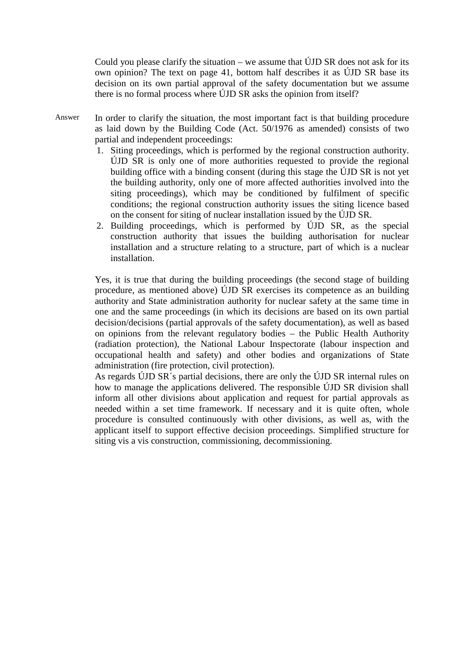Could you please clarify the situation – we assume that  $\hat{U}$ JD SR does not ask for its own opinion? The text on page 41, bottom half describes it as ÚJD SR base its decision on its own partial approval of the safety documentation but we assume there is no formal process where ÚJD SR asks the opinion from itself?

- Answer In order to clarify the situation, the most important fact is that building procedure as laid down by the Building Code (Act. 50/1976 as amended) consists of two partial and independent proceedings:
	- 1. Siting proceedings, which is performed by the regional construction authority. ÚJD SR is only one of more authorities requested to provide the regional building office with a binding consent (during this stage the ÚJD SR is not yet the building authority, only one of more affected authorities involved into the siting proceedings), which may be conditioned by fulfilment of specific conditions; the regional construction authority issues the siting licence based on the consent for siting of nuclear installation issued by the ÚJD SR.
	- 2. Building proceedings, which is performed by ÚJD SR, as the special construction authority that issues the building authorisation for nuclear installation and a structure relating to a structure, part of which is a nuclear installation.

Yes, it is true that during the building proceedings (the second stage of building procedure, as mentioned above) ÚJD SR exercises its competence as an building authority and State administration authority for nuclear safety at the same time in one and the same proceedings (in which its decisions are based on its own partial decision/decisions (partial approvals of the safety documentation), as well as based on opinions from the relevant regulatory bodies – the Public Health Authority (radiation protection), the National Labour Inspectorate (labour inspection and occupational health and safety) and other bodies and organizations of State administration (fire protection, civil protection).

As regards ÚJD SR´s partial decisions, there are only the ÚJD SR internal rules on how to manage the applications delivered. The responsible ÚJD SR division shall inform all other divisions about application and request for partial approvals as needed within a set time framework. If necessary and it is quite often, whole procedure is consulted continuously with other divisions, as well as, with the applicant itself to support effective decision proceedings. Simplified structure for siting vis a vis construction, commissioning, decommissioning.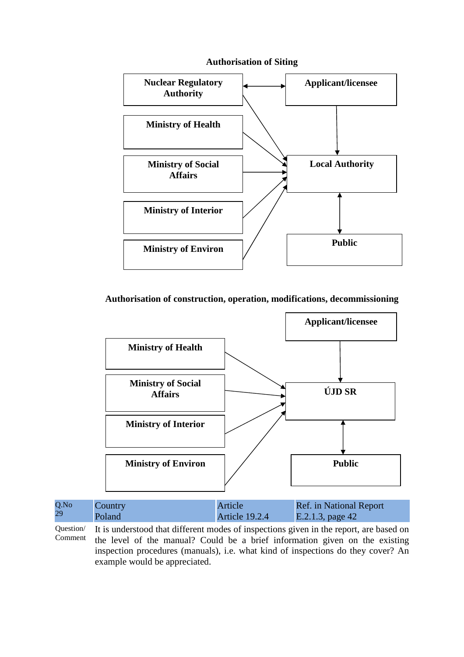

#### **Authorisation of Siting**

## **Authorisation of construction, operation, modifications, decommissioning**



| Q.No | Country | Article        | Ref. in National Report |
|------|---------|----------------|-------------------------|
| 29   | Poland  | Article 19.2.4 | $E.2.1.3$ , page 42     |

Question/ Comment It is understood that different modes of inspections given in the report, are based on the level of the manual? Could be a brief information given on the existing inspection procedures (manuals), i.e. what kind of inspections do they cover? An example would be appreciated.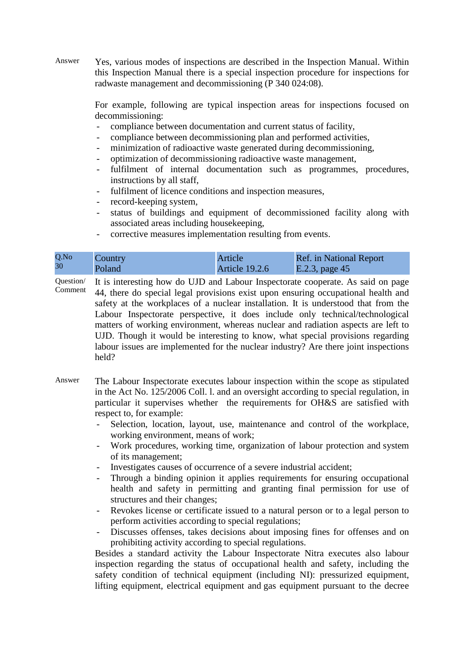Answer Yes, various modes of inspections are described in the Inspection Manual. Within this Inspection Manual there is a special inspection procedure for inspections for radwaste management and decommissioning (P 340 024:08).

> For example, following are typical inspection areas for inspections focused on decommissioning:

- compliance between documentation and current status of facility,
- compliance between decommissioning plan and performed activities,
- minimization of radioactive waste generated during decommissioning,
- optimization of decommissioning radioactive waste management,
- fulfilment of internal documentation such as programmes, procedures, instructions by all staff,
- fulfilment of licence conditions and inspection measures,
- record-keeping system,
- status of buildings and equipment of decommissioned facility along with associated areas including housekeeping,
- corrective measures implementation resulting from events.

| Q.No | Country | Article        | Ref. in National Report |
|------|---------|----------------|-------------------------|
| 30   | Poland  | Article 19.2.6 | E.2.3, page 45          |

Question/ Comment It is interesting how do UJD and Labour Inspectorate cooperate. As said on page 44, there do special legal provisions exist upon ensuring occupational health and safety at the workplaces of a nuclear installation. It is understood that from the Labour Inspectorate perspective, it does include only technical/technological matters of working environment, whereas nuclear and radiation aspects are left to UJD. Though it would be interesting to know, what special provisions regarding labour issues are implemented for the nuclear industry? Are there joint inspections held?

- Answer The Labour Inspectorate executes labour inspection within the scope as stipulated in the Act No. 125/2006 Coll. l. and an oversight according to special regulation, in particular it supervises whether the requirements for OH&S are satisfied with respect to, for example:
	- Selection, location, layout, use, maintenance and control of the workplace, working environment, means of work;
	- Work procedures, working time, organization of labour protection and system of its management;
	- Investigates causes of occurrence of a severe industrial accident;
	- Through a binding opinion it applies requirements for ensuring occupational health and safety in permitting and granting final permission for use of structures and their changes;
	- Revokes license or certificate issued to a natural person or to a legal person to perform activities according to special regulations;
	- Discusses offenses, takes decisions about imposing fines for offenses and on prohibiting activity according to special regulations.

Besides a standard activity the Labour Inspectorate Nitra executes also labour inspection regarding the status of occupational health and safety, including the safety condition of technical equipment (including NI): pressurized equipment, lifting equipment, electrical equipment and gas equipment pursuant to the decree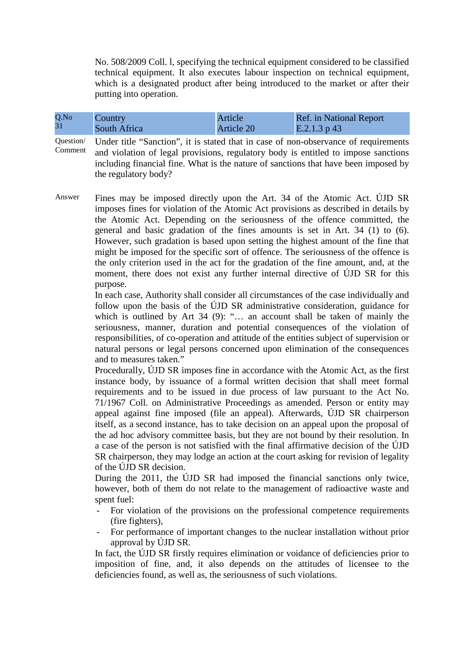No. 508/2009 Coll. l, specifying the technical equipment considered to be classified technical equipment. It also executes labour inspection on technical equipment, which is a designated product after being introduced to the market or after their putting into operation.

| Q.No | Country      | Article    | <b>Ref.</b> in National Report |
|------|--------------|------------|--------------------------------|
| 31   | South Africa | Article 20 | E.2.1.3 p 43                   |

Question/ Comment Under title "Sanction", it is stated that in case of non-observance of requirements and violation of legal provisions, regulatory body is entitled to impose sanctions including financial fine. What is the nature of sanctions that have been imposed by the regulatory body?

Answer Fines may be imposed directly upon the Art. 34 of the Atomic Act. ÚJD SR imposes fines for violation of the Atomic Act provisions as described in details by the Atomic Act. Depending on the seriousness of the offence committed, the general and basic gradation of the fines amounts is set in Art. 34 (1) to (6). However, such gradation is based upon setting the highest amount of the fine that might be imposed for the specific sort of offence. The seriousness of the offence is the only criterion used in the act for the gradation of the fine amount, and, at the moment, there does not exist any further internal directive of ÚJD SR for this purpose.

> In each case, Authority shall consider all circumstances of the case individually and follow upon the basis of the ÚJD SR administrative consideration, guidance for which is outlined by Art 34 (9): "... an account shall be taken of mainly the seriousness, manner, duration and potential consequences of the violation of responsibilities, of co-operation and attitude of the entities subject of supervision or natural persons or legal persons concerned upon elimination of the consequences and to measures taken."

> Procedurally, ÚJD SR imposes fine in accordance with the Atomic Act, as the first instance body, by issuance of a formal written decision that shall meet formal requirements and to be issued in due process of law pursuant to the Act No. 71/1967 Coll. on Administrative Proceedings as amended. Person or entity may appeal against fine imposed (file an appeal). Afterwards, ÚJD SR chairperson itself, as a second instance, has to take decision on an appeal upon the proposal of the ad hoc advisory committee basis, but they are not bound by their resolution. In a case of the person is not satisfied with the final affirmative decision of the ÚJD SR chairperson, they may lodge an action at the court asking for revision of legality of the ÚJD SR decision.

> During the 2011, the ÚJD SR had imposed the financial sanctions only twice, however, both of them do not relate to the management of radioactive waste and spent fuel:

- For violation of the provisions on the professional competence requirements (fire fighters),
- For performance of important changes to the nuclear installation without prior approval by ÚJD SR.

In fact, the ÚJD SR firstly requires elimination or voidance of deficiencies prior to imposition of fine, and, it also depends on the attitudes of licensee to the deficiencies found, as well as, the seriousness of such violations.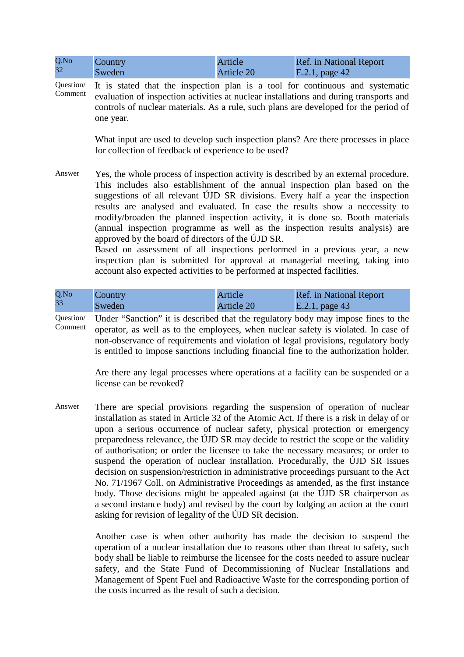| Q.No<br>32           | Country<br>Sweden                                                                                                                                                                                                                                                                                                                                                                                                                                                                                                                                                                                                                                                                                                                                                                                      | Article<br>Article 20 | <b>Ref.</b> in National Report<br>E.2.1, page 42 |
|----------------------|--------------------------------------------------------------------------------------------------------------------------------------------------------------------------------------------------------------------------------------------------------------------------------------------------------------------------------------------------------------------------------------------------------------------------------------------------------------------------------------------------------------------------------------------------------------------------------------------------------------------------------------------------------------------------------------------------------------------------------------------------------------------------------------------------------|-----------------------|--------------------------------------------------|
| Question/<br>Comment | It is stated that the inspection plan is a tool for continuous and systematic<br>evaluation of inspection activities at nuclear installations and during transports and<br>controls of nuclear materials. As a rule, such plans are developed for the period of<br>one year.                                                                                                                                                                                                                                                                                                                                                                                                                                                                                                                           |                       |                                                  |
|                      | What input are used to develop such inspection plans? Are there processes in place<br>for collection of feedback of experience to be used?                                                                                                                                                                                                                                                                                                                                                                                                                                                                                                                                                                                                                                                             |                       |                                                  |
| Answer               | Yes, the whole process of inspection activity is described by an external procedure.<br>This includes also establishment of the annual inspection plan based on the<br>suggestions of all relevant ÚJD SR divisions. Every half a year the inspection<br>results are analysed and evaluated. In case the results show a necessity to<br>modify/broaden the planned inspection activity, it is done so. Booth materials<br>(annual inspection programme as well as the inspection results analysis) are<br>approved by the board of directors of the ÚJD SR.<br>Based on assessment of all inspections performed in a previous year, a new<br>inspection plan is submitted for approval at managerial meeting, taking into<br>account also expected activities to be performed at inspected facilities. |                       |                                                  |

| Q.No | Country | Article    | <b>Ref.</b> in National Report |
|------|---------|------------|--------------------------------|
| 33   | Sweden  | Article 20 | $\mathbf{E}.2.1$ , page 43     |

Question/ Comment Under "Sanction" it is described that the regulatory body may impose fines to the operator, as well as to the employees, when nuclear safety is violated. In case of non-observance of requirements and violation of legal provisions, regulatory body is entitled to impose sanctions including financial fine to the authorization holder.

> Are there any legal processes where operations at a facility can be suspended or a license can be revoked?

Answer There are special provisions regarding the suspension of operation of nuclear installation as stated in Article 32 of the Atomic Act. If there is a risk in delay of or upon a serious occurrence of nuclear safety, physical protection or emergency preparedness relevance, the ÚJD SR may decide to restrict the scope or the validity of authorisation; or order the licensee to take the necessary measures; or order to suspend the operation of nuclear installation. Procedurally, the ÚJD SR issues decision on suspension/restriction in administrative proceedings pursuant to the Act No. 71/1967 Coll. on Administrative Proceedings as amended, as the first instance body. Those decisions might be appealed against (at the ÚJD SR chairperson as a second instance body) and revised by the court by lodging an action at the court asking for revision of legality of the ÚJD SR decision.

> Another case is when other authority has made the decision to suspend the operation of a nuclear installation due to reasons other than threat to safety, such body shall be liable to reimburse the licensee for the costs needed to assure nuclear safety, and the State Fund of Decommissioning of Nuclear Installations and Management of Spent Fuel and Radioactive Waste for the corresponding portion of the costs incurred as the result of such a decision.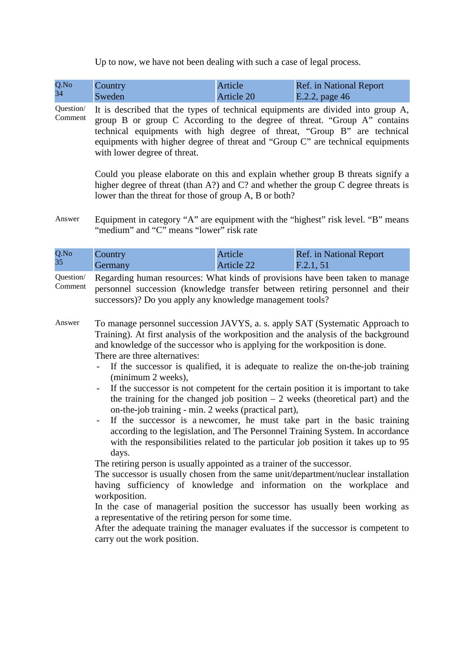Up to now, we have not been dealing with such a case of legal process.

| Q.No | Country | <b>Article</b> | <b>Ref.</b> in National Report |
|------|---------|----------------|--------------------------------|
| 34   | Sweden  | Article 20     | E.2.2, page 46                 |

Question/ Comment It is described that the types of technical equipments are divided into group A, group B or group C According to the degree of threat. "Group A" contains technical equipments with high degree of threat, "Group B" are technical equipments with higher degree of threat and "Group C" are technical equipments with lower degree of threat.

> Could you please elaborate on this and explain whether group B threats signify a higher degree of threat (than A?) and C? and whether the group C degree threats is lower than the threat for those of group A, B or both?

Answer Equipment in category "A" are equipment with the "highest" risk level. "B" means "medium" and "C" means "lower" risk rate

| Q.No<br>Country<br>35<br>Germany | Article<br>Article 22 | <b>Ref.</b> in National Report<br>F.2.1, 51 |  |
|----------------------------------|-----------------------|---------------------------------------------|--|
|----------------------------------|-----------------------|---------------------------------------------|--|

Question/ Comment Regarding human resources: What kinds of provisions have been taken to manage personnel succession (knowledge transfer between retiring personnel and their successors)? Do you apply any knowledge management tools?

- Answer To manage personnel succession JAVYS, a. s. apply SAT (Systematic Approach to Training). At first analysis of the workposition and the analysis of the background and knowledge of the successor who is applying for the workposition is done. There are three alternatives:
	- If the successor is qualified, it is adequate to realize the on-the-job training (minimum 2 weeks),
	- If the successor is not competent for the certain position it is important to take the training for the changed job position  $-2$  weeks (theoretical part) and the on-the-job training - min. 2 weeks (practical part),
	- If the successor is a newcomer, he must take part in the basic training according to the legislation, and The Personnel Training System. In accordance with the responsibilities related to the particular job position it takes up to 95 days.

The retiring person is usually appointed as a trainer of the successor.

The successor is usually chosen from the same unit/department/nuclear installation having sufficiency of knowledge and information on the workplace and workposition.

In the case of managerial position the successor has usually been working as a representative of the retiring person for some time.

After the adequate training the manager evaluates if the successor is competent to carry out the work position.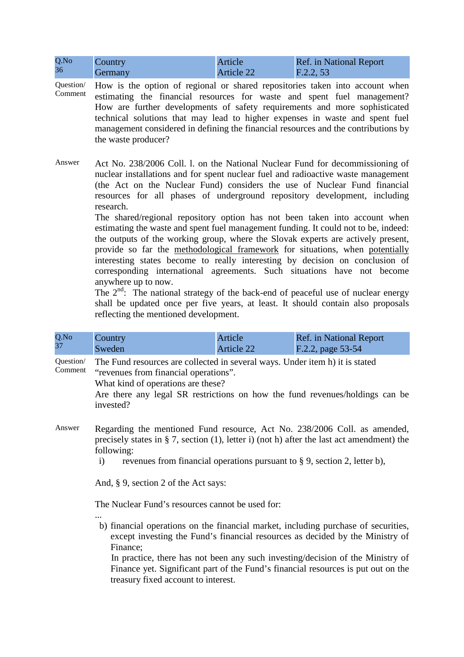| Q.No | Country | Article    | <b>Ref.</b> in National Report |
|------|---------|------------|--------------------------------|
| 36   | Germany | Article 22 | F.2.2, 53                      |

Question/ Comment How is the option of regional or shared repositories taken into account when estimating the financial resources for waste and spent fuel management? How are further developments of safety requirements and more sophisticated technical solutions that may lead to higher expenses in waste and spent fuel management considered in defining the financial resources and the contributions by the waste producer?

Answer Act No. 238/2006 Coll. l. on the National Nuclear Fund for decommissioning of nuclear installations and for spent nuclear fuel and radioactive waste management (the Act on the Nuclear Fund) considers the use of Nuclear Fund financial resources for all phases of underground repository development, including research.

> The shared/regional repository option has not been taken into account when estimating the waste and spent fuel management funding. It could not to be, indeed: the outputs of the working group, where the Slovak experts are actively present, provide so far the methodological framework for situations, when potentially interesting states become to really interesting by decision on conclusion of corresponding international agreements. Such situations have not become anywhere up to now.

> The  $2<sup>nd</sup>$ : The national strategy of the back-end of peaceful use of nuclear energy shall be updated once per five years, at least. It should contain also proposals reflecting the mentioned development.

| Q.No | Country | Article           | <b>Ref.</b> in National Report |
|------|---------|-------------------|--------------------------------|
| 37   | Sweden  | <b>Article 22</b> | F.2.2, page 53-54              |

Question/ Comment The Fund resources are collected in several ways. Under item h) it is stated "revenues from financial operations".

What kind of operations are these?

Are there any legal SR restrictions on how the fund revenues/holdings can be invested?

- Answer Regarding the mentioned Fund resource, Act No. 238/2006 Coll. as amended, precisely states in § 7, section (1), letter i) (not h) after the last act amendment) the following:
	- i) revenues from financial operations pursuant to § 9, section 2, letter b),

And, § 9, section 2 of the Act says:

The Nuclear Fund's resources cannot be used for:

... b) financial operations on the financial market, including purchase of securities, except investing the Fund's financial resources as decided by the Ministry of Finance;

In practice, there has not been any such investing/decision of the Ministry of Finance yet. Significant part of the Fund's financial resources is put out on the treasury fixed account to interest.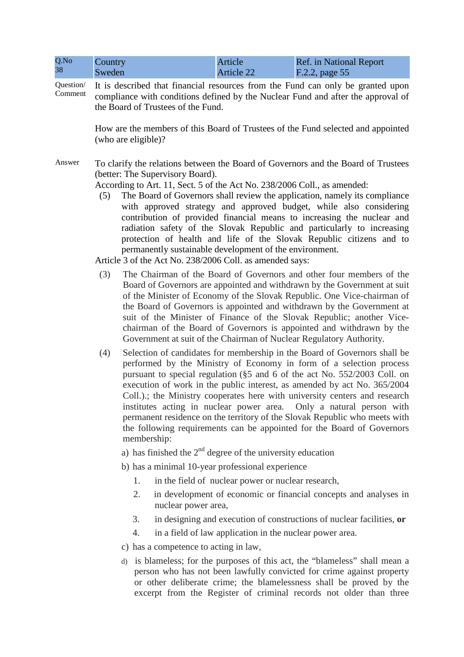| Q.No<br>38           | Country<br>Sweden                                                                                       |             |                                                                                              | Article<br><b>Article 22</b> | <b>Ref.</b> in National Report<br>F.2.2, page 55                                                                                                                                                                                                                                                                                                                                                                                                                                                                                                                                                                       |  |  |
|----------------------|---------------------------------------------------------------------------------------------------------|-------------|----------------------------------------------------------------------------------------------|------------------------------|------------------------------------------------------------------------------------------------------------------------------------------------------------------------------------------------------------------------------------------------------------------------------------------------------------------------------------------------------------------------------------------------------------------------------------------------------------------------------------------------------------------------------------------------------------------------------------------------------------------------|--|--|
| Question/<br>Comment |                                                                                                         |             | the Board of Trustees of the Fund.                                                           |                              | It is described that financial resources from the Fund can only be granted upon<br>compliance with conditions defined by the Nuclear Fund and after the approval of                                                                                                                                                                                                                                                                                                                                                                                                                                                    |  |  |
|                      | How are the members of this Board of Trustees of the Fund selected and appointed<br>(who are eligible)? |             |                                                                                              |                              |                                                                                                                                                                                                                                                                                                                                                                                                                                                                                                                                                                                                                        |  |  |
| Answer               | (5)                                                                                                     |             | (better: The Supervisory Board).<br>Article 3 of the Act No. 238/2006 Coll. as amended says: |                              | To clarify the relations between the Board of Governors and the Board of Trustees<br>According to Art. 11, Sect. 5 of the Act No. 238/2006 Coll., as amended:<br>The Board of Governors shall review the application, namely its compliance<br>with approved strategy and approved budget, while also considering<br>contribution of provided financial means to increasing the nuclear and<br>radiation safety of the Slovak Republic and particularly to increasing<br>protection of health and life of the Slovak Republic citizens and to<br>permanently sustainable development of the environment.               |  |  |
|                      | (3)                                                                                                     |             |                                                                                              |                              | The Chairman of the Board of Governors and other four members of the<br>Board of Governors are appointed and withdrawn by the Government at suit<br>of the Minister of Economy of the Slovak Republic. One Vice-chairman of<br>the Board of Governors is appointed and withdrawn by the Government at<br>suit of the Minister of Finance of the Slovak Republic; another Vice-<br>chairman of the Board of Governors is appointed and withdrawn by the<br>Government at suit of the Chairman of Nuclear Regulatory Authority.                                                                                          |  |  |
|                      | (4)                                                                                                     | membership: |                                                                                              |                              | Selection of candidates for membership in the Board of Governors shall be<br>performed by the Ministry of Economy in form of a selection process<br>pursuant to special regulation (§5 and 6 of the act No. 552/2003 Coll. on<br>execution of work in the public interest, as amended by act No. 365/2004<br>Coll.).; the Ministry cooperates here with university centers and research<br>institutes acting in nuclear power area. Only a natural person with<br>permanent residence on the territory of the Slovak Republic who meets with<br>the following requirements can be appointed for the Board of Governors |  |  |
|                      |                                                                                                         |             | a) has finished the $2nd$ degree of the university education                                 |                              |                                                                                                                                                                                                                                                                                                                                                                                                                                                                                                                                                                                                                        |  |  |
|                      |                                                                                                         |             | b) has a minimal 10-year professional experience                                             |                              |                                                                                                                                                                                                                                                                                                                                                                                                                                                                                                                                                                                                                        |  |  |
|                      |                                                                                                         | 1.          |                                                                                              |                              | in the field of nuclear power or nuclear research,                                                                                                                                                                                                                                                                                                                                                                                                                                                                                                                                                                     |  |  |
|                      |                                                                                                         | 2.          | nuclear power area,                                                                          |                              | in development of economic or financial concepts and analyses in                                                                                                                                                                                                                                                                                                                                                                                                                                                                                                                                                       |  |  |
|                      |                                                                                                         | 3.          |                                                                                              |                              | in designing and execution of constructions of nuclear facilities, or                                                                                                                                                                                                                                                                                                                                                                                                                                                                                                                                                  |  |  |
|                      |                                                                                                         | 4.          |                                                                                              |                              | in a field of law application in the nuclear power area.                                                                                                                                                                                                                                                                                                                                                                                                                                                                                                                                                               |  |  |
|                      |                                                                                                         |             | c) has a competence to acting in law,                                                        |                              |                                                                                                                                                                                                                                                                                                                                                                                                                                                                                                                                                                                                                        |  |  |

d) is blameless; for the purposes of this act, the "blameless" shall mean a person who has not been lawfully convicted for crime against property or other deliberate crime; the blamelessness shall be proved by the excerpt from the Register of criminal records not older than three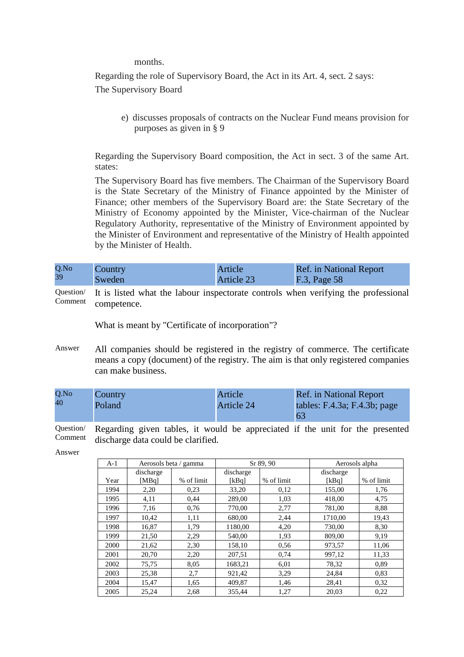months.

Regarding the role of Supervisory Board, the Act in its Art. 4, sect. 2 says: The Supervisory Board

e) discusses proposals of contracts on the Nuclear Fund means provision for purposes as given in § 9

Regarding the Supervisory Board composition, the Act in sect. 3 of the same Art. states:

The Supervisory Board has five members. The Chairman of the Supervisory Board is the State Secretary of the Ministry of Finance appointed by the Minister of Finance; other members of the Supervisory Board are: the State Secretary of the Ministry of Economy appointed by the Minister, Vice-chairman of the Nuclear Regulatory Authority, representative of the Ministry of Environment appointed by the Minister of Environment and representative of the Ministry of Health appointed by the Minister of Health.

| Q.No | Country | Article    | <b>Ref.</b> in National Report |
|------|---------|------------|--------------------------------|
| 39   | Sweden  | Article 23 | F.3, Page 58                   |

Question/ Comment It is listed what the labour inspectorate controls when verifying the professional competence.

What is meant by "Certificate of incorporation"?

Answer All companies should be registered in the registry of commerce. The certificate means a copy (document) of the registry. The aim is that only registered companies can make business.

| Q.No | Country | Article    | <b>Ref.</b> in National Report     |
|------|---------|------------|------------------------------------|
| 40   | Poland  | Article 24 | tables: $F.4.3a$ ; $F.4.3b$ ; page |
|      |         |            | <sup>63</sup>                      |

Question/ Comment Regarding given tables, it would be appreciated if the unit for the presented discharge data could be clarified.

Answer

| $A-1$ |           | Aerosols beta / gamma | Sr 89, 90 |            | Aerosols alpha |            |
|-------|-----------|-----------------------|-----------|------------|----------------|------------|
|       | discharge |                       | discharge |            | discharge      |            |
| Year  | [MBq]     | % of limit            | [kBq]     | % of limit | [kBq]          | % of limit |
| 1994  | 2,20      | 0.23                  | 33,20     | 0,12       | 155,00         | 1,76       |
| 1995  | 4,11      | 0.44                  | 289,00    | 1,03       | 418.00         | 4,75       |
| 1996  | 7,16      | 0,76                  | 770,00    | 2,77       | 781.00         | 8.88       |
| 1997  | 10.42     | 1,11                  | 680.00    | 2,44       | 1710.00        | 19,43      |
| 1998  | 16,87     | 1,79                  | 1180,00   | 4,20       | 730,00         | 8.30       |
| 1999  | 21,50     | 2,29                  | 540,00    | 1,93       | 809.00         | 9,19       |
| 2000  | 21,62     | 2,30                  | 158,10    | 0.56       | 973,57         | 11,06      |
| 2001  | 20,70     | 2,20                  | 207,51    | 0,74       | 997,12         | 11,33      |
| 2002  | 75,75     | 8,05                  | 1683,21   | 6,01       | 78,32          | 0,89       |
| 2003  | 25,38     | 2,7                   | 921,42    | 3,29       | 24,84          | 0.83       |
| 2004  | 15,47     | 1,65                  | 409,87    | 1,46       | 28,41          | 0,32       |
| 2005  | 25,24     | 2,68                  | 355,44    | 1,27       | 20.03          | 0,22       |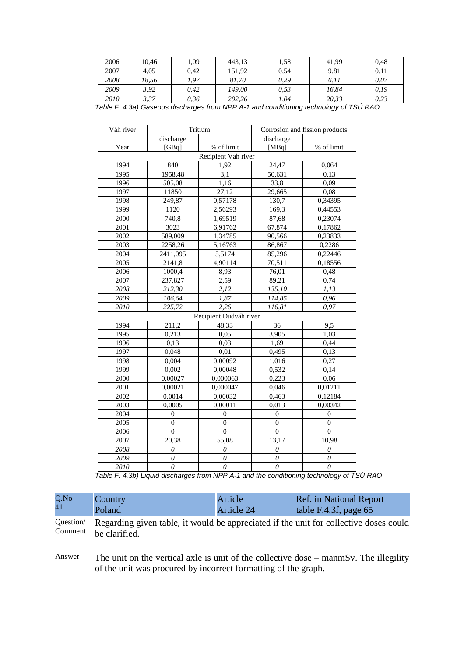| 2006 | 10.46 | ,09  | 443.13 | 1.58 | 41.99 | 0.48 |
|------|-------|------|--------|------|-------|------|
| 2007 | 4.05  | 0.42 | 151.92 | 0.54 | 9,81  | 0.11 |
| 2008 | 18,56 | .97  | 81,70  | 0.29 | 6,11  | 0,07 |
| 2009 | 3,92  | 0,42 | 149.00 | 0,53 | 16.84 | 0.19 |
| 2010 | 3,37  | 0,36 | 292,26 | 1,04 | 20,33 | 0,23 |

| Table F. 4.3a) Gaseous discharges from NPP A-1 and conditioning technology of TSU RAO |  |  |  |  |
|---------------------------------------------------------------------------------------|--|--|--|--|
|---------------------------------------------------------------------------------------|--|--|--|--|

| Váh river | Tritium          |                        | Corrosion and fission products |                  |
|-----------|------------------|------------------------|--------------------------------|------------------|
|           | discharge        |                        | discharge                      |                  |
| Year      | [GBq]            | % of limit             | [MBq]                          | % of limit       |
|           |                  | Recipient Vah river    |                                |                  |
| 1994      | 840              | 1,92                   | 24,47                          | 0,064            |
| 1995      | 1958,48          | 3,1                    | 50,631                         | 0,13             |
| 1996      | 505,08           | 1,16                   | 33,8                           | 0,09             |
| 1997      | 11850            | $\overline{27,12}$     | 29,665                         | 0,08             |
| 1998      | 249,87           | 0,57178                | 130,7                          | 0,34395          |
| 1999      | 1120             | 2,56293                | 169,3                          | 0,44553          |
| 2000      | 740,8            | 1,69519                | 87,68                          | 0,23074          |
| 2001      | 3023             | 6,91762                | 67,874                         | 0,17862          |
| 2002      | 589,009          | 1,34785                | 90,566                         | 0,23833          |
| 2003      | 2258,26          | 5,16763                | 86,867                         | 0,2286           |
| 2004      | 2411,095         | 5,5174                 | 85,296                         | 0,22446          |
| 2005      | 2141,8           | 4,90114                | 70,511                         | 0,18556          |
| 2006      | 1000,4           | 8,93                   | 76,01                          | 0,48             |
| 2007      | 237,827          | 2,59                   | 89,21                          | 0,74             |
| 2008      | 212,30           | 2,12                   | 135,10                         | 1,13             |
| 2009      | 186,64           | 1,87                   | 114,85                         | 0,96             |
| 2010      | 225,72           | 2,26                   | 116,81                         | 0,97             |
|           |                  | Recipient Dudváh river |                                |                  |
| 1994      | 211,2            | 48,33                  | 36                             | 9,5              |
| 1995      | 0,213            | 0,05                   | 3,905                          | 1,03             |
| 1996      | 0,13             | 0,03                   | 1,69                           | 0,44             |
| 1997      | 0,048            | 0,01                   | 0,495                          | 0,13             |
| 1998      | 0,004            | 0,00092                | 1,016                          | 0,27             |
| 1999      | 0,002            | 0,00048                | 0,532                          | 0,14             |
| 2000      | 0,00027          | 0,000063               | 0,223                          | 0,06             |
| 2001      | 0,00021          | 0,000047               | 0,046                          | 0,01211          |
| 2002      | 0,0014           | 0,00032                | 0,463                          | 0,12184          |
| 2003      | 0,0005           | 0,00011                | 0.013                          | 0,00342          |
| 2004      | $\theta$         | $\mathbf{0}$           | $\overline{0}$                 | $\mathbf{0}$     |
| 2005      | 0                | $\boldsymbol{0}$       | 0                              | $\mathbf{0}$     |
| 2006      | $\boldsymbol{0}$ | $\boldsymbol{0}$       | $\boldsymbol{0}$               | $\boldsymbol{0}$ |
| 2007      | 20,38            | 55,08                  | 13,17                          | 10,98            |
| 2008      | $\theta$         | 0                      | $\theta$                       | $\theta$         |
| 2009      | $\theta$         | 0                      | 0                              | 0                |
| 2010      | $\theta$         | $\mathcal O$           | $\theta$                       | $\theta$         |

Table F. 4.3b) Liquid discharges from NPP A-1 and the conditioning technology of TSÚ RAO

| Q.No | Country | Article    | <b>Ref.</b> in National Report |
|------|---------|------------|--------------------------------|
| 41   | Poland  | Article 24 | table F.4.3f, page 65          |

Question/ Comment Regarding given table, it would be appreciated if the unit for collective doses could be clarified.

Answer The unit on the vertical axle is unit of the collective dose – manmSv. The illegility of the unit was procured by incorrect formatting of the graph.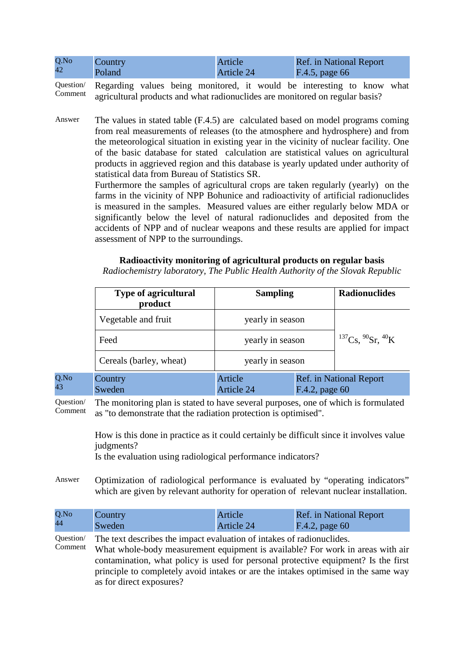| Q.No | <b>Country</b> | Article    | <b>Ref.</b> in National Report |
|------|----------------|------------|--------------------------------|
| 42   | Poland         | Article 24 | F.4.5, page 66                 |

Question/ Comment Regarding values being monitored, it would be interesting to know what agricultural products and what radionuclides are monitored on regular basis?

Answer The values in stated table (F.4.5) are calculated based on model programs coming from real measurements of releases (to the atmosphere and hydrosphere) and from the meteorological situation in existing year in the vicinity of nuclear facility. One of the basic database for stated calculation are statistical values on agricultural products in aggrieved region and this database is yearly updated under authority of statistical data from Bureau of Statistics SR.

> Furthermore the samples of agricultural crops are taken regularly (yearly) on the farms in the vicinity of NPP Bohunice and radioactivity of artificial radionuclides is measured in the samples. Measured values are either regularly below MDA or significantly below the level of natural radionuclides and deposited from the accidents of NPP and of nuclear weapons and these results are applied for impact assessment of NPP to the surroundings.

#### **Radioactivity monitoring of agricultural products on regular basis**

*Radiochemistry laboratory, The Public Health Authority of the Slovak Republic* 

| <b>Type of agricultural</b><br>product | <b>Sampling</b>       |                | <b>Radionuclides</b>           |
|----------------------------------------|-----------------------|----------------|--------------------------------|
| Vegetable and fruit                    | yearly in season      |                |                                |
| Feed                                   | yearly in season      |                | $137Cs$ , $90Sr$ , $40K$       |
| Cereals (barley, wheat)                | yearly in season      |                |                                |
| Country<br>Sweden                      | Article<br>Article 24 | F.4.2, page 60 | <b>Ref.</b> in National Report |

Question/ Comment The monitoring plan is stated to have several purposes, one of which is formulated as "to demonstrate that the radiation protection is optimised".

How is this done in practice as it could certainly be difficult since it involves value judgments?

F.4.2, page 60

Is the evaluation using radiological performance indicators?

Q.No 43

Answer Optimization of radiological performance is evaluated by "operating indicators" which are given by relevant authority for operation of relevant nuclear installation.

| Q.No | Country | Article    | <b>Ref.</b> in National Report |
|------|---------|------------|--------------------------------|
| 44   | Sweden  | Article 24 | $F.4.2$ , page 60              |

Question/ Comment The text describes the impact evaluation of intakes of radionuclides. What whole-body measurement equipment is available? For work in areas with air contamination, what policy is used for personal protective equipment? Is the first principle to completely avoid intakes or are the intakes optimised in the same way as for direct exposures?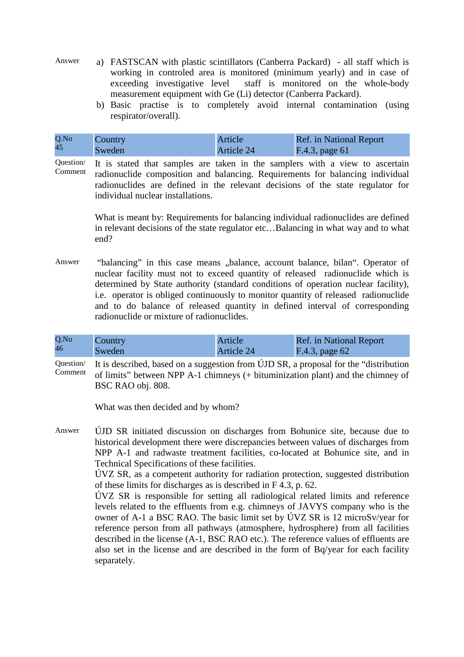- Answer a) FASTSCAN with plastic scintillators (Canberra Packard) all staff which is working in controled area is monitored (minimum yearly) and in case of exceeding investigative level staff is monitored on the whole-body measurement equipment with Ge (Li) detector (Canberra Packard).
	- b) Basic practise is to completely avoid internal contamination (using respirator/overall).

| Q.No | Country | Article    | <b>Ref.</b> in National Report |
|------|---------|------------|--------------------------------|
| 45   | Sweden  | Article 24 | F.4.3, page 61                 |

Question/ Comment It is stated that samples are taken in the samplers with a view to ascertain radionuclide composition and balancing. Requirements for balancing individual radionuclides are defined in the relevant decisions of the state regulator for individual nuclear installations.

> What is meant by: Requirements for balancing individual radionuclides are defined in relevant decisions of the state regulator etc…Balancing in what way and to what end?

Answer "balancing" in this case means "balance, account balance, bilan". Operator of nuclear facility must not to exceed quantity of released radionuclide which is determined by State authority (standard conditions of operation nuclear facility), i.e. operator is obliged continuously to monitor quantity of released radionuclide and to do balance of released quantity in defined interval of corresponding radionuclide or mixture of radionuclides.

| Q.No | Country | Article    | Ref. in National Report |
|------|---------|------------|-------------------------|
| 46   | Sweden  | Article 24 | $F.4.3$ , page 62       |

Question/ Comment It is described, based on a suggestion from ÚJD SR, a proposal for the "distribution of limits" between NPP A-1 chimneys (+ bituminization plant) and the chimney of BSC RAO obj. 808.

What was then decided and by whom?

Answer ÚJD SR initiated discussion on discharges from Bohunice site, because due to historical development there were discrepancies between values of discharges from NPP A-1 and radwaste treatment facilities, co-located at Bohunice site, and in Technical Specifications of these facilities.

ÚVZ SR, as a competent authority for radiation protection, suggested distribution of these limits for discharges as is described in F 4.3, p. 62.

ÚVZ SR is responsible for setting all radiological related limits and reference levels related to the effluents from e.g. chimneys of JAVYS company who is the owner of A-1 a BSC RAO. The basic limit set by ÚVZ SR is 12 microSv/year for reference person from all pathways (atmosphere, hydrosphere) from all facilities described in the license (A-1, BSC RAO etc.). The reference values of effluents are also set in the license and are described in the form of Bq/year for each facility separately.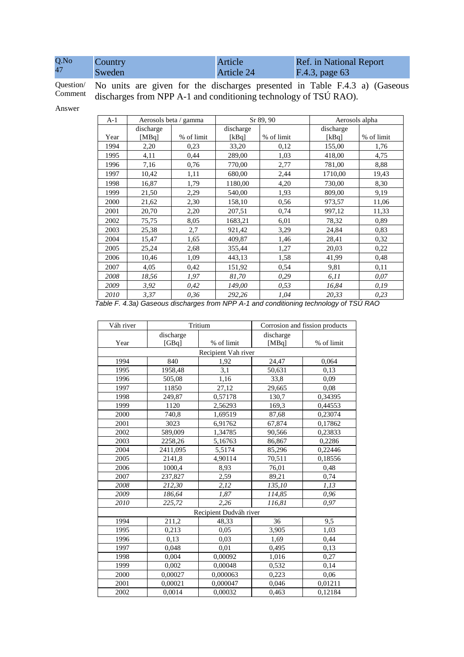| Q.No | Country | Article    | <b>Ref.</b> in National Report |
|------|---------|------------|--------------------------------|
| 47   | Sweden  | Article 24 | F.4.3, page 63                 |

Question/ Comment No units are given for the discharges presented in Table F.4.3 a) (Gaseous discharges from NPP A-1 and conditioning technology of TSÚ RAO).

Answer

| $A-1$ |           | Aerosols beta / gamma |           | Sr 89, 90  | Aerosols alpha |            |
|-------|-----------|-----------------------|-----------|------------|----------------|------------|
|       | discharge |                       | discharge |            | discharge      |            |
| Year  | [MBq]     | % of limit            | [kBq]     | % of limit | [kBq]          | % of limit |
| 1994  | 2,20      | 0,23                  | 33,20     | 0,12       | 155,00         | 1,76       |
| 1995  | 4,11      | 0,44                  | 289,00    | 1,03       | 418,00         | 4,75       |
| 1996  | 7,16      | 0,76                  | 770,00    | 2,77       | 781,00         | 8,88       |
| 1997  | 10,42     | 1,11                  | 680,00    | 2,44       | 1710,00        | 19,43      |
| 1998  | 16,87     | 1,79                  | 1180,00   | 4,20       | 730,00         | 8,30       |
| 1999  | 21,50     | 2,29                  | 540,00    | 1,93       | 809,00         | 9,19       |
| 2000  | 21,62     | 2,30                  | 158,10    | 0,56       | 973,57         | 11,06      |
| 2001  | 20,70     | 2,20                  | 207,51    | 0,74       | 997,12         | 11,33      |
| 2002  | 75,75     | 8,05                  | 1683,21   | 6,01       | 78,32          | 0,89       |
| 2003  | 25,38     | 2,7                   | 921,42    | 3,29       | 24,84          | 0,83       |
| 2004  | 15,47     | 1,65                  | 409,87    | 1,46       | 28,41          | 0,32       |
| 2005  | 25,24     | 2,68                  | 355,44    | 1,27       | 20,03          | 0,22       |
| 2006  | 10,46     | 1,09                  | 443,13    | 1,58       | 41,99          | 0,48       |
| 2007  | 4,05      | 0,42                  | 151,92    | 0,54       | 9,81           | 0,11       |
| 2008  | 18,56     | 1,97                  | 81,70     | 0,29       | 6,11           | 0,07       |
| 2009  | 3,92      | 0,42                  | 149,00    | 0,53       | 16,84          | 0,19       |
| 2010  | 3,37      | 0,36                  | 292,26    | 1,04       | 20,33          | 0,23       |

Table F. 4.3a) Gaseous discharges from NPP A-1 and conditioning technology of TSÚ RAO

| Váh river |                     | Tritium                |           | Corrosion and fission products |  |
|-----------|---------------------|------------------------|-----------|--------------------------------|--|
|           | discharge           |                        | discharge |                                |  |
| Year      | [GBq]               | % of limit             | [MBq]     | % of limit                     |  |
|           | Recipient Vah river |                        |           |                                |  |
| 1994      | 840                 | 1,92                   | 24,47     | 0,064                          |  |
| 1995      | 1958,48             | 3,1                    | 50,631    | 0,13                           |  |
| 1996      | 505,08              | 1,16                   | 33,8      | 0.09                           |  |
| 1997      | 11850               | 27,12                  | 29,665    | 0.08                           |  |
| 1998      | 249,87              | 0,57178                | 130,7     | 0,34395                        |  |
| 1999      | 1120                | 2,56293                | 169,3     | 0,44553                        |  |
| 2000      | 740,8               | 1,69519                | 87,68     | 0,23074                        |  |
| 2001      | 3023                | 6,91762                | 67,874    | 0,17862                        |  |
| 2002      | 589,009             | 1,34785                | 90,566    | 0,23833                        |  |
| 2003      | 2258,26             | 5,16763                | 86,867    | 0,2286                         |  |
| 2004      | 2411,095            | 5,5174                 | 85,296    | 0,22446                        |  |
| 2005      | 2141,8              | 4,90114                | 70,511    | 0,18556                        |  |
| 2006      | 1000,4              | 8.93                   | 76,01     | 0,48                           |  |
| 2007      | 237,827             | 2,59                   | 89,21     | 0,74                           |  |
| 2008      | 212,30              | 2,12                   | 135,10    | 1,13                           |  |
| 2009      | 186,64              | 1,87                   | 114,85    | 0,96                           |  |
| 2010      | 225,72              | 2,26                   | 116,81    | 0,97                           |  |
|           |                     | Recipient Dudváh river |           |                                |  |
| 1994      | 211,2               | 48,33                  | 36        | 9,5                            |  |
| 1995      | 0,213               | 0.05                   | 3,905     | 1,03                           |  |
| 1996      | 0,13                | 0,03                   | 1,69      | 0,44                           |  |
| 1997      | 0,048               | 0,01                   | 0,495     | 0,13                           |  |
| 1998      | 0,004               | 0,00092                | 1,016     | 0,27                           |  |
| 1999      | 0,002               | 0,00048                | 0,532     | 0,14                           |  |
| 2000      | 0,00027             | 0,000063               | 0,223     | 0.06                           |  |
| 2001      | 0,00021             | 0,000047               | 0,046     | 0,01211                        |  |
| 2002      | 0,0014              | 0,00032                | 0,463     | 0,12184                        |  |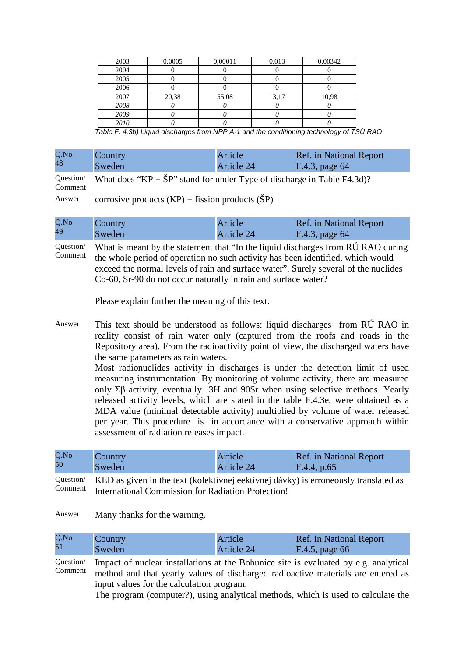| 2003 | 0,0005 | 0,00011 | 0,013 | 0,00342 |
|------|--------|---------|-------|---------|
| 2004 |        |         |       |         |
| 2005 |        |         |       |         |
| 2006 |        |         |       |         |
| 2007 | 20,38  | 55,08   | 13,17 | 10,98   |
| 2008 |        |         |       |         |
| 2009 |        |         |       |         |
| 2010 |        |         |       |         |

Table F. 4.3b) Liquid discharges from NPP A-1 and the conditioning technology of TSÚ RAO

| Q.No | Country | Article    | <b>Ref.</b> in National Report |
|------|---------|------------|--------------------------------|
| 48   | Sweden  | Article 24 | F.4.3, page 64                 |

Question/ Comment What does " $KP + \text{SP}$ " stand for under Type of discharge in Table F4.3d)?

Answer corrosive products  $(KP)$  + fission products  $(SP)$ 

| Q.No | <b>Country</b> | Article/   | <b>Ref.</b> in National Report |
|------|----------------|------------|--------------------------------|
| 49   | Sweden         | Article 24 | $F.4.3$ , page 64              |

Question/ Comment What is meant by the statement that "In the liquid discharges from RÚ RAO during the whole period of operation no such activity has been identified, which would exceed the normal levels of rain and surface water". Surely several of the nuclides Co-60, Sr-90 do not occur naturally in rain and surface water?

Please explain further the meaning of this text.

Answer This text should be understood as follows: liquid discharges from RÚ RAO in reality consist of rain water only (captured from the roofs and roads in the Repository area). From the radioactivity point of view, the discharged waters have the same parameters as rain waters.

> Most radionuclides activity in discharges is under the detection limit of used measuring instrumentation. By monitoring of volume activity, there are measured only  $\Sigma \beta$  activity, eventually 3H and 90Sr when using selective methods. Yearly released activity levels, which are stated in the table F.4.3e, were obtained as a MDA value (minimal detectable activity) multiplied by volume of water released per year. This procedure is in accordance with a conservative approach within assessment of radiation releases impact.

| Q.No<br>Country<br>50<br>Sweden | Article<br>Article 24 | <b>Ref.</b> in National Report<br>F.4.4, p.65 |  |
|---------------------------------|-----------------------|-----------------------------------------------|--|
|---------------------------------|-----------------------|-----------------------------------------------|--|

Question/ Comment KED as given in the text (kolektívnej eektívnej dávky) is erroneously translated as International Commission for Radiation Protection!

Answer Many thanks for the warning.

| Q.No | Country | Article    | <b>Ref.</b> in National Report |
|------|---------|------------|--------------------------------|
|      | Sweden  | Article 24 | F.4.5, page 66                 |

Question/ Comment Impact of nuclear installations at the Bohunice site is evaluated by e.g. analytical method and that yearly values of discharged radioactive materials are entered as input values for the calculation program.

The program (computer?), using analytical methods, which is used to calculate the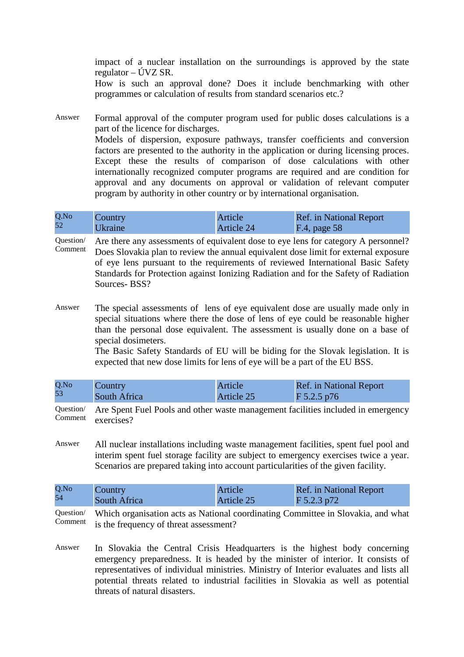impact of a nuclear installation on the surroundings is approved by the state regulator – ÚVZ SR.

How is such an approval done? Does it include benchmarking with other programmes or calculation of results from standard scenarios etc.?

Answer Formal approval of the computer program used for public doses calculations is a part of the licence for discharges. Models of dispersion, exposure pathways, transfer coefficients and conversion factors are presented to the authority in the application or during licensing proces. Except these the results of comparison of dose calculations with other internationally recognized computer programs are required and are condition for approval and any documents on approval or validation of relevant computer program by authority in other country or by international organisation.

| Q.No | Country        | Article           | <b>Ref.</b> in National Report |
|------|----------------|-------------------|--------------------------------|
| 52   | <b>Ukraine</b> | <b>Article 24</b> | $F.4$ , page 58                |

Question/ Comment Are there any assessments of equivalent dose to eye lens for category A personnel? Does Slovakia plan to review the annual equivalent dose limit for external exposure of eye lens pursuant to the requirements of reviewed International Basic Safety Standards for Protection against Ionizing Radiation and for the Safety of Radiation Sources- BSS?

Answer The special assessments of lens of eye equivalent dose are usually made only in special situations where there the dose of lens of eye could be reasonable higher than the personal dose equivalent. The assessment is usually done on a base of special dosimeters.

> The Basic Safety Standards of EU will be biding for the Slovak legislation. It is expected that new dose limits for lens of eye will be a part of the EU BSS.

| Q.No | Country      | Article    | Ref. in National Report |
|------|--------------|------------|-------------------------|
| 53   | South Africa | Article 25 | $F$ 5.2.5 p76           |

Question/ Comment Are Spent Fuel Pools and other waste management facilities included in emergency exercises?

Answer All nuclear installations including waste management facilities, spent fuel pool and interim spent fuel storage facility are subject to emergency exercises twice a year. Scenarios are prepared taking into account particularities of the given facility.

| Q.No | Country      | Article    | <b>Ref.</b> in National Report |
|------|--------------|------------|--------------------------------|
| 54   | South Africa | Article 25 | $F$ 5.2.3 p72                  |
|      |              |            |                                |

Question/ Comment Which organisation acts as National coordinating Committee in Slovakia, and what is the frequency of threat assessment?

Answer In Slovakia the Central Crisis Headquarters is the highest body concerning emergency preparedness. It is headed by the minister of interior. It consists of representatives of individual ministries. Ministry of Interior evaluates and lists all potential threats related to industrial facilities in Slovakia as well as potential threats of natural disasters.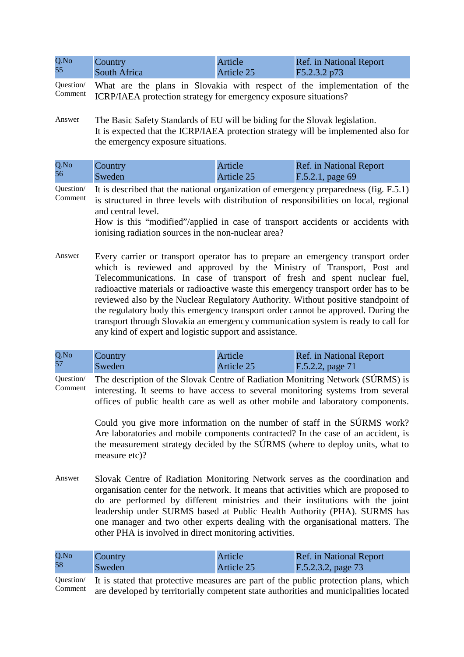| Q.No | Country      | Article    | <b>Ref.</b> in National Report |
|------|--------------|------------|--------------------------------|
| 55   | South Africa | Article 25 | F5.2.3.2 p73                   |

Question/ Comment What are the plans in Slovakia with respect of the implementation of the ICRP/IAEA protection strategy for emergency exposure situations?

Answer The Basic Safety Standards of EU will be biding for the Slovak legislation. It is expected that the ICRP/IAEA protection strategy will be implemented also for the emergency exposure situations.

| Q.No | Country | Article    | <b>Ref.</b> in National Report |
|------|---------|------------|--------------------------------|
| 56   | Sweden  | Article 25 | $F.5.2.1$ , page 69            |

Question/ Comment It is described that the national organization of emergency preparedness (fig. F.5.1) is structured in three levels with distribution of responsibilities on local, regional and central level.

> How is this "modified"/applied in case of transport accidents or accidents with ionising radiation sources in the non-nuclear area?

Answer Every carrier or transport operator has to prepare an emergency transport order which is reviewed and approved by the Ministry of Transport, Post and Telecommunications. In case of transport of fresh and spent nuclear fuel, radioactive materials or radioactive waste this emergency transport order has to be reviewed also by the Nuclear Regulatory Authority. Without positive standpoint of the regulatory body this emergency transport order cannot be approved. During the transport through Slovakia an emergency communication system is ready to call for any kind of expert and logistic support and assistance.

| Q.No | Country | Article    | <b>Ref.</b> in National Report |
|------|---------|------------|--------------------------------|
| 57   | Sweden  | Article 25 | $F.5.2.2$ , page 71            |

Question/ Comment The description of the Slovak Centre of Radiation Monitring Network (SÚRMS) is interesting. It seems to have access to several monitoring systems from several offices of public health care as well as other mobile and laboratory components.

> Could you give more information on the number of staff in the SÚRMS work? Are laboratories and mobile components contracted? In the case of an accident, is the measurement strategy decided by the SÚRMS (where to deploy units, what to measure etc)?

Answer Slovak Centre of Radiation Monitoring Network serves as the coordination and organisation center for the network. It means that activities which are proposed to do are performed by different ministries and their institutions with the joint leadership under SURMS based at Public Health Authority (PHA). SURMS has one manager and two other experts dealing with the organisational matters. The other PHA is involved in direct monitoring activities.

| Q.No | Country | <b>Article</b> | <b>Ref.</b> in National Report |
|------|---------|----------------|--------------------------------|
| 58   | Sweden  | Article 25     | F.5.2.3.2, page 73             |

Question/ Comment It is stated that protective measures are part of the public protection plans, which are developed by territorially competent state authorities and municipalities located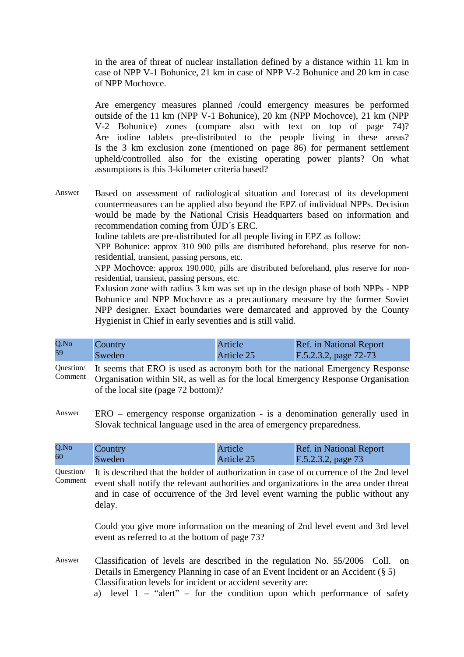in the area of threat of nuclear installation defined by a distance within 11 km in case of NPP V-1 Bohunice, 21 km in case of NPP V-2 Bohunice and 20 km in case of NPP Mochovce.

Are emergency measures planned /could emergency measures be performed outside of the 11 km (NPP V-1 Bohunice), 20 km (NPP Mochovce), 21 km (NPP V-2 Bohunice) zones (compare also with text on top of page 74)? Are iodine tablets pre-distributed to the people living in these areas? Is the 3 km exclusion zone (mentioned on page 86) for permanent settlement upheld/controlled also for the existing operating power plants? On what assumptions is this 3-kilometer criteria based?

Answer Based on assessment of radiological situation and forecast of its development countermeasures can be applied also beyond the EPZ of individual NPPs. Decision would be made by the National Crisis Headquarters based on information and recommendation coming from ÚJD´s ERC.

Iodine tablets are pre-distributed for all people living in EPZ as follow:

NPP Bohunice: approx 310 900 pills are distributed beforehand, plus reserve for nonresidential, transient, passing persons, etc.

NPP Mochovce: approx 190.000, pills are distributed beforehand, plus reserve for nonresidential, transient, passing persons, etc.

Exlusion zone with radius 3 km was set up in the design phase of both NPPs - NPP Bohunice and NPP Mochovce as a precautionary measure by the former Soviet NPP designer. Exact boundaries were demarcated and approved by the County Hygienist in Chief in early seventies and is still valid.

| Q.No | Country | Article    | <b>Ref.</b> in National Report |
|------|---------|------------|--------------------------------|
| 59   | Sweden  | Article 25 | F.5.2.3.2, page 72-73          |

Question/ Comment It seems that ERO is used as acronym both for the national Emergency Response Organisation within SR, as well as for the local Emergency Response Organisation of the local site (page 72 bottom)?

Answer ERO – emergency response organization - is a denomination generally used in Slovak technical language used in the area of emergency preparedness.

| Q.No | Country | Article    | <b>Ref.</b> in National Report |
|------|---------|------------|--------------------------------|
| 60   | Sweden  | Article 25 | F.5.2.3.2, page 73             |

Question/ Comment It is described that the holder of authorization in case of occurrence of the 2nd level event shall notify the relevant authorities and organizations in the area under threat and in case of occurrence of the 3rd level event warning the public without any delay.

> Could you give more information on the meaning of 2nd level event and 3rd level event as referred to at the bottom of page 73?

- Answer Classification of levels are described in the regulation No. 55/2006 Coll. on Details in Emergency Planning in case of an Event Incident or an Accident (§ 5) Classification levels for incident or accident severity are:
	- a) level  $1 -$  "alert" for the condition upon which performance of safety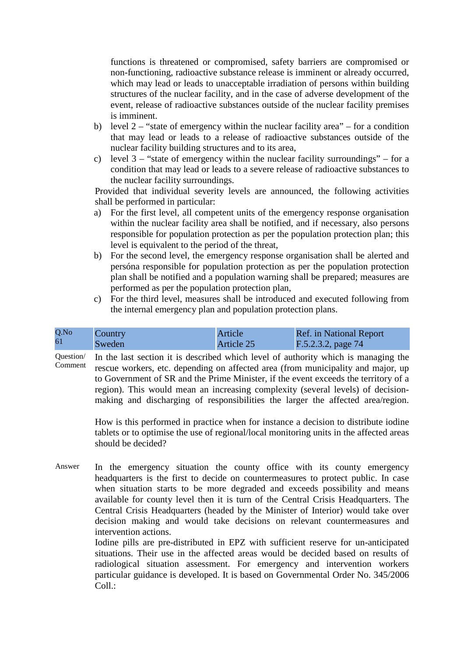functions is threatened or compromised, safety barriers are compromised or non-functioning, radioactive substance release is imminent or already occurred, which may lead or leads to unacceptable irradiation of persons within building structures of the nuclear facility, and in the case of adverse development of the event, release of radioactive substances outside of the nuclear facility premises is imminent.

- b) level  $2 -$  "state of emergency within the nuclear facility area" for a condition that may lead or leads to a release of radioactive substances outside of the nuclear facility building structures and to its area,
- c) level  $3 -$  "state of emergency within the nuclear facility surroundings" for a condition that may lead or leads to a severe release of radioactive substances to the nuclear facility surroundings.

Provided that individual severity levels are announced, the following activities shall be performed in particular:

- a) For the first level, all competent units of the emergency response organisation within the nuclear facility area shall be notified, and if necessary, also persons responsible for population protection as per the population protection plan; this level is equivalent to the period of the threat,
- b) For the second level, the emergency response organisation shall be alerted and persóna responsible for population protection as per the population protection plan shall be notified and a population warning shall be prepared; measures are performed as per the population protection plan,
- c) For the third level, measures shall be introduced and executed following from the internal emergency plan and population protection plans.

| Q.No | Country | Article    | Ref. in National Report |
|------|---------|------------|-------------------------|
| 61   | Sweden  | Article 25 | $F.5.2.3.2$ , page 74   |

Question/ Comment In the last section it is described which level of authority which is managing the rescue workers, etc. depending on affected area (from municipality and major, up to Government of SR and the Prime Minister, if the event exceeds the territory of a region). This would mean an increasing complexity (several levels) of decisionmaking and discharging of responsibilities the larger the affected area/region.

> How is this performed in practice when for instance a decision to distribute iodine tablets or to optimise the use of regional/local monitoring units in the affected areas should be decided?

Answer In the emergency situation the county office with its county emergency headquarters is the first to decide on countermeasures to protect public. In case when situation starts to be more degraded and exceeds possibility and means available for county level then it is turn of the Central Crisis Headquarters. The Central Crisis Headquarters (headed by the Minister of Interior) would take over decision making and would take decisions on relevant countermeasures and intervention actions.

Iodine pills are pre-distributed in EPZ with sufficient reserve for un-anticipated situations. Their use in the affected areas would be decided based on results of radiological situation assessment. For emergency and intervention workers particular guidance is developed. It is based on Governmental Order No. 345/2006 Coll.: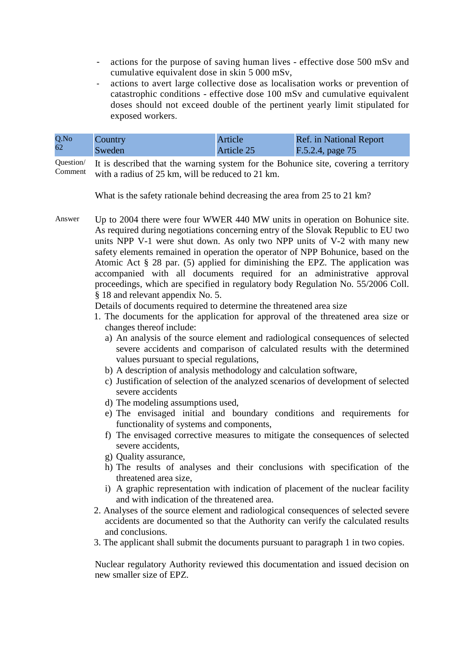- actions for the purpose of saving human lives effective dose 500 mSv and cumulative equivalent dose in skin 5 000 mSv,
- actions to avert large collective dose as localisation works or prevention of catastrophic conditions - effective dose 100 mSv and cumulative equivalent doses should not exceed double of the pertinent yearly limit stipulated for exposed workers.

| Q.No | Country | Article    | <b>Ref.</b> in National Report |
|------|---------|------------|--------------------------------|
| 62   | Sweden  | Article 25 | F.5.2.4, page 75               |

Question/ Comment It is described that the warning system for the Bohunice site, covering a territory with a radius of 25 km, will be reduced to 21 km.

What is the safety rationale behind decreasing the area from 25 to 21 km?

Answer Up to 2004 there were four WWER 440 MW units in operation on Bohunice site. As required during negotiations concerning entry of the Slovak Republic to EU two units NPP V-1 were shut down. As only two NPP units of V-2 with many new safety elements remained in operation the operator of NPP Bohunice, based on the Atomic Act § 28 par. (5) applied for diminishing the EPZ. The application was accompanied with all documents required for an administrative approval proceedings, which are specified in regulatory body Regulation No. 55/2006 Coll. § 18 and relevant appendix No. 5.

Details of documents required to determine the threatened area size

- 1. The documents for the application for approval of the threatened area size or changes thereof include:
	- a) An analysis of the source element and radiological consequences of selected severe accidents and comparison of calculated results with the determined values pursuant to special regulations,
	- b) A description of analysis methodology and calculation software,
	- c) Justification of selection of the analyzed scenarios of development of selected severe accidents
	- d) The modeling assumptions used,
	- e) The envisaged initial and boundary conditions and requirements for functionality of systems and components,
	- f) The envisaged corrective measures to mitigate the consequences of selected severe accidents,
	- g) Quality assurance,
	- h) The results of analyses and their conclusions with specification of the threatened area size,
	- i) A graphic representation with indication of placement of the nuclear facility and with indication of the threatened area.
- 2. Analyses of the source element and radiological consequences of selected severe accidents are documented so that the Authority can verify the calculated results and conclusions.
- 3. The applicant shall submit the documents pursuant to paragraph 1 in two copies.

Nuclear regulatory Authority reviewed this documentation and issued decision on new smaller size of EPZ.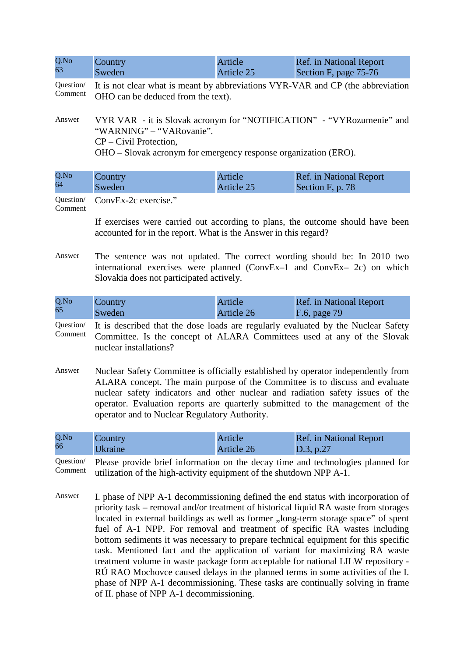| Q.No                 | Country                                                                                                               | Article    | <b>Ref.</b> in National Report |
|----------------------|-----------------------------------------------------------------------------------------------------------------------|------------|--------------------------------|
| 63                   | Sweden                                                                                                                | Article 25 | Section F, page 75-76          |
| Question/<br>Comment | It is not clear what is meant by abbreviations VYR-VAR and CP (the abbreviation<br>OHO can be deduced from the text). |            |                                |
| Answer               | VYR VAR - it is Slovak acronym for "NOTIFICATION" - "VYR ozumenie" and<br>"WARNING" – "VARovanie".                    |            |                                |

CP – Civil Protection,

OHO – Slovak acronym for emergency response organization (ERO).

| Q.No | Country | Article/   | Ref. in National Report |
|------|---------|------------|-------------------------|
| 64   | Sweden  | Article 25 | Section F, p. 78        |

Question/ ConvEx-2c exercise."

Comment

If exercises were carried out according to plans, the outcome should have been accounted for in the report. What is the Answer in this regard?

Answer The sentence was not updated. The correct wording should be: In 2010 two international exercises were planned (ConvEx–1 and ConvEx– 2c) on which Slovakia does not participated actively.

| Q.No | Country | Article    | Ref. in National Report |
|------|---------|------------|-------------------------|
| 65   | Sweden  | Article 26 | F.6, page 79            |

- Question/ Comment It is described that the dose loads are regularly evaluated by the Nuclear Safety Committee. Is the concept of ALARA Committees used at any of the Slovak nuclear installations?
- Answer Nuclear Safety Committee is officially established by operator independently from ALARA concept. The main purpose of the Committee is to discuss and evaluate nuclear safety indicators and other nuclear and radiation safety issues of the operator. Evaluation reports are quarterly submitted to the management of the operator and to Nuclear Regulatory Authority.

| Q.No | Country        | Article    | <b>Ref.</b> in National Report |
|------|----------------|------------|--------------------------------|
| 66   | <b>Ukraine</b> | Article 26 | D.3, p.27                      |
|      |                |            |                                |

Question/ Comment Please provide brief information on the decay time and technologies planned for utilization of the high-activity equipment of the shutdown NPP A-1.

Answer I. phase of NPP A-1 decommissioning defined the end status with incorporation of priority task – removal and/or treatment of historical liquid RA waste from storages located in external buildings as well as former ,,long-term storage space" of spent fuel of A-1 NPP. For removal and treatment of specific RA wastes including bottom sediments it was necessary to prepare technical equipment for this specific task. Mentioned fact and the application of variant for maximizing RA waste treatment volume in waste package form acceptable for national LILW repository - RÚ RAO Mochovce caused delays in the planned terms in some activities of the I. phase of NPP A-1 decommissioning. These tasks are continually solving in frame of II. phase of NPP A-1 decommissioning.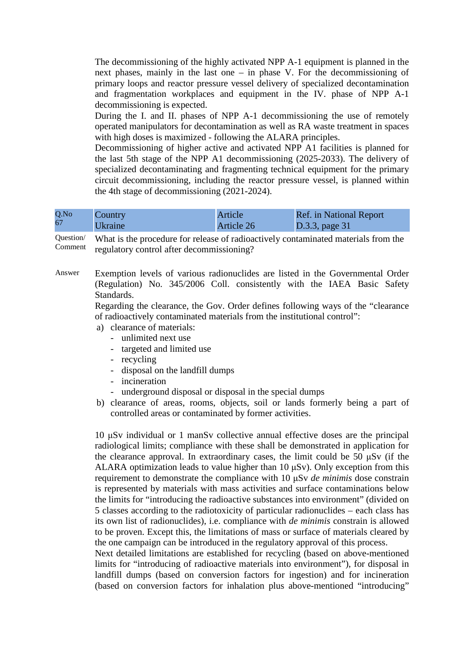The decommissioning of the highly activated NPP A-1 equipment is planned in the next phases, mainly in the last one – in phase V. For the decommissioning of primary loops and reactor pressure vessel delivery of specialized decontamination and fragmentation workplaces and equipment in the IV. phase of NPP A-1 decommissioning is expected.

During the I. and II. phases of NPP A-1 decommissioning the use of remotely operated manipulators for decontamination as well as RA waste treatment in spaces with high doses is maximized - following the ALARA principles.

Decommissioning of higher active and activated NPP A1 facilities is planned for the last 5th stage of the NPP A1 decommissioning (2025-2033). The delivery of specialized decontaminating and fragmenting technical equipment for the primary circuit decommissioning, including the reactor pressure vessel, is planned within the 4th stage of decommissioning (2021-2024).

| Q.No | Country               | <b>Article</b> | <b>Ref.</b> in National Report |
|------|-----------------------|----------------|--------------------------------|
| 67   | <i><b>Ukraine</b></i> | Article 26     | $\vert$ D.3.3, page 31         |

Question/ Comment What is the procedure for release of radioactively contaminated materials from the regulatory control after decommissioning?

Answer Exemption levels of various radionuclides are listed in the Governmental Order (Regulation) No. 345/2006 Coll. consistently with the IAEA Basic Safety Standards.

> Regarding the clearance, the Gov. Order defines following ways of the "clearance of radioactively contaminated materials from the institutional control":

- a) clearance of materials:
	- unlimited next use
	- targeted and limited use
	- recycling
	- disposal on the landfill dumps
	- incineration
	- underground disposal or disposal in the special dumps
- b) clearance of areas, rooms, objects, soil or lands formerly being a part of controlled areas or contaminated by former activities.

10 µSv individual or 1 manSv collective annual effective doses are the principal radiological limits; compliance with these shall be demonstrated in application for the clearance approval. In extraordinary cases, the limit could be 50 µSv (if the ALARA optimization leads to value higher than 10  $\mu Sv$ ). Only exception from this requirement to demonstrate the compliance with 10 µSv *de minimis* dose constrain is represented by materials with mass activities and surface contaminations below the limits for "introducing the radioactive substances into environment" (divided on 5 classes according to the radiotoxicity of particular radionuclides – each class has its own list of radionuclides), i.e. compliance with *de minimis* constrain is allowed to be proven. Except this, the limitations of mass or surface of materials cleared by the one campaign can be introduced in the regulatory approval of this process.

Next detailed limitations are established for recycling (based on above-mentioned limits for "introducing of radioactive materials into environment"), for disposal in landfill dumps (based on conversion factors for ingestion) and for incineration (based on conversion factors for inhalation plus above-mentioned "introducing"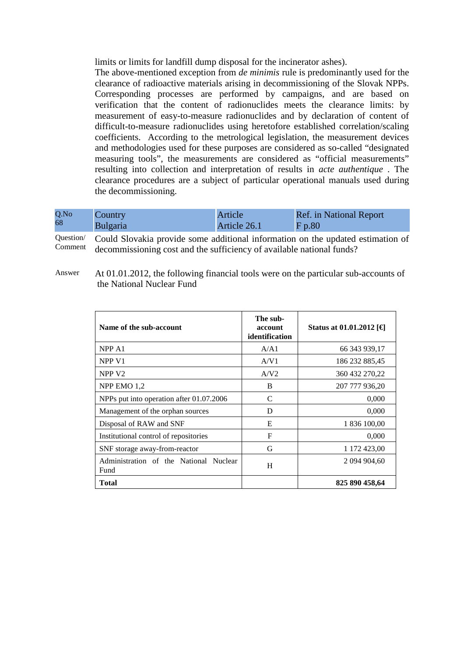limits or limits for landfill dump disposal for the incinerator ashes).

The above-mentioned exception from *de minimis* rule is predominantly used for the clearance of radioactive materials arising in decommissioning of the Slovak NPPs. Corresponding processes are performed by campaigns, and are based on verification that the content of radionuclides meets the clearance limits: by measurement of easy-to-measure radionuclides and by declaration of content of difficult-to-measure radionuclides using heretofore established correlation/scaling coefficients. According to the metrological legislation, the measurement devices and methodologies used for these purposes are considered as so-called "designated measuring tools", the measurements are considered as "official measurements" resulting into collection and interpretation of results in *acte authentique* . The clearance procedures are a subject of particular operational manuals used during the decommissioning.

| Q.No | Country  | Article      | <b>Ref.</b> in National Report |
|------|----------|--------------|--------------------------------|
| 68   | Bulgaria | Article 26.1 | Fp.80                          |

Question/ Comment Could Slovakia provide some additional information on the updated estimation of decommissioning cost and the sufficiency of available national funds?

Answer At 01.01.2012, the following financial tools were on the particular sub-accounts of the National Nuclear Fund

| Name of the sub-account                        | The sub-<br>account<br>identification | Status at 01.01.2012 [€] |
|------------------------------------------------|---------------------------------------|--------------------------|
| NPP A <sub>1</sub>                             | A/A1                                  | 66 343 939,17            |
| NPP V <sub>1</sub>                             | A/V1                                  | 186 232 885,45           |
| NPP <sub>V2</sub>                              | A/V2                                  | 360 432 270,22           |
| NPP EMO 1.2                                    | B                                     | 207 777 936,20           |
| NPPs put into operation after 01.07.2006       | C                                     | 0,000                    |
| Management of the orphan sources               | D                                     | 0,000                    |
| Disposal of RAW and SNF                        | E                                     | 1 836 100,00             |
| Institutional control of repositories          | F                                     | 0,000                    |
| SNF storage away-from-reactor                  | G                                     | 1 172 423,00             |
| Administration of the National Nuclear<br>Fund | H                                     | 2 094 904,60             |
| <b>Total</b>                                   |                                       | 825 890 458,64           |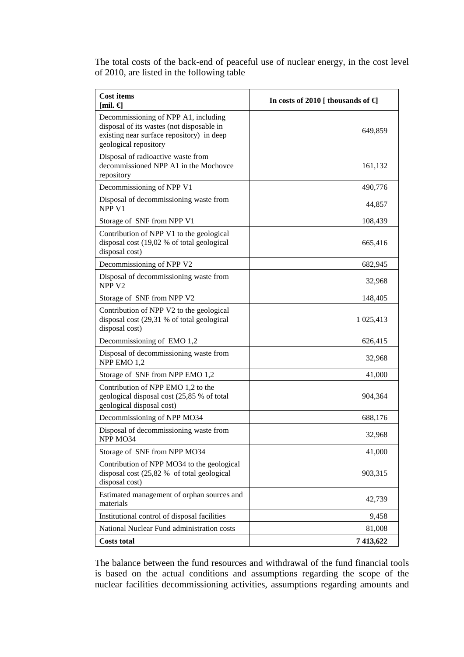The total costs of the back-end of peaceful use of nuclear energy, in the cost level of 2010, are listed in the following table

| <b>Cost items</b><br>[mil. $\epsilon$ ]                                                                                                                 | In costs of 2010 [ thousands of $\epsilon$ ] |
|---------------------------------------------------------------------------------------------------------------------------------------------------------|----------------------------------------------|
| Decommissioning of NPP A1, including<br>disposal of its wastes (not disposable in<br>existing near surface repository) in deep<br>geological repository | 649,859                                      |
| Disposal of radioactive waste from<br>decommissioned NPP A1 in the Mochovce<br>repository                                                               | 161,132                                      |
| Decommissioning of NPP V1                                                                                                                               | 490,776                                      |
| Disposal of decommissioning waste from<br>NPP <sub>V1</sub>                                                                                             | 44,857                                       |
| Storage of SNF from NPP V1                                                                                                                              | 108,439                                      |
| Contribution of NPP V1 to the geological<br>disposal cost (19,02 % of total geological<br>disposal cost)                                                | 665,416                                      |
| Decommissioning of NPP V2                                                                                                                               | 682,945                                      |
| Disposal of decommissioning waste from<br>NPP <sub>V2</sub>                                                                                             | 32,968                                       |
| Storage of SNF from NPP V2                                                                                                                              | 148,405                                      |
| Contribution of NPP V2 to the geological<br>disposal cost (29,31 % of total geological<br>disposal cost)                                                | 1 0 25, 413                                  |
| Decommissioning of EMO 1,2                                                                                                                              | 626,415                                      |
| Disposal of decommissioning waste from<br>NPP EMO 1,2                                                                                                   | 32,968                                       |
| Storage of SNF from NPP EMO 1,2                                                                                                                         | 41,000                                       |
| Contribution of NPP EMO 1,2 to the<br>geological disposal cost (25,85 % of total<br>geological disposal cost)                                           | 904,364                                      |
| Decommissioning of NPP MO34                                                                                                                             | 688,176                                      |
| Disposal of decommissioning waste from<br>NPP MO34                                                                                                      | 32,968                                       |
| Storage of SNF from NPP MO34                                                                                                                            | 41,000                                       |
| Contribution of NPP MO34 to the geological<br>disposal cost (25,82 % of total geological<br>disposal cost)                                              | 903,315                                      |
| Estimated management of orphan sources and<br>materials                                                                                                 | 42,739                                       |
| Institutional control of disposal facilities                                                                                                            | 9,458                                        |
| National Nuclear Fund administration costs                                                                                                              | 81,008                                       |
| <b>Costs total</b>                                                                                                                                      | 7 413,622                                    |

The balance between the fund resources and withdrawal of the fund financial tools is based on the actual conditions and assumptions regarding the scope of the nuclear facilities decommissioning activities, assumptions regarding amounts and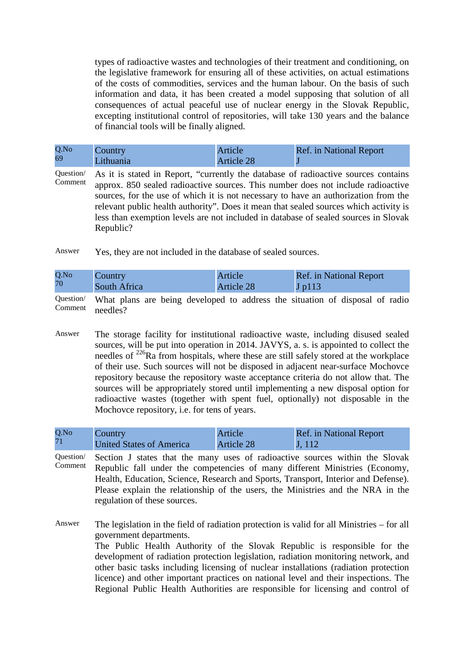types of radioactive wastes and technologies of their treatment and conditioning, on the legislative framework for ensuring all of these activities, on actual estimations of the costs of commodities, services and the human labour. On the basis of such information and data, it has been created a model supposing that solution of all consequences of actual peaceful use of nuclear energy in the Slovak Republic, excepting institutional control of repositories, will take 130 years and the balance of financial tools will be finally aligned.

| Q.No | $\sqrt{\text{Country}}$ | Article           | <b>Ref.</b> in National Report |
|------|-------------------------|-------------------|--------------------------------|
| 69   | Lithuania               | <b>Article 28</b> |                                |

Question/ Comment As it is stated in Report, "currently the database of radioactive sources contains approx. 850 sealed radioactive sources. This number does not include radioactive sources, for the use of which it is not necessary to have an authorization from the relevant public health authority". Does it mean that sealed sources which activity is less than exemption levels are not included in database of sealed sources in Slovak Republic?

Answer Yes, they are not included in the database of sealed sources.

| Q.No | Country      | Article    | <b>Ref.</b> in National Report                                                                                                                        |
|------|--------------|------------|-------------------------------------------------------------------------------------------------------------------------------------------------------|
| 70   | South Africa | Article 28 | $J$ p $113$                                                                                                                                           |
|      |              |            | $\Omega$ and $\Omega$ is the contract in the contract of $\Omega$ is the contract of $\Omega$ is the contract of $\Omega$ is the contract of $\Omega$ |

Question/ Comment What plans are being developed to address the situation of disposal of radio needles?

Answer The storage facility for institutional radioactive waste, including disused sealed sources, will be put into operation in 2014. JAVYS, a. s. is appointed to collect the needles of  $^{226}$ Ra from hospitals, where these are still safely stored at the workplace of their use. Such sources will not be disposed in adjacent near-surface Mochovce repository because the repository waste acceptance criteria do not allow that. The sources will be appropriately stored until implementing a new disposal option for radioactive wastes (together with spent fuel, optionally) not disposable in the Mochovce repository, i.e. for tens of years.

| Q.No | Country                         | Article           | <b>Ref.</b> in National Report |
|------|---------------------------------|-------------------|--------------------------------|
| 71   | <b>United States of America</b> | <b>Article 28</b> | $\mathbf{J}$ , 112             |

Question/ Comment Section J states that the many uses of radioactive sources within the Slovak Republic fall under the competencies of many different Ministries (Economy, Health, Education, Science, Research and Sports, Transport, Interior and Defense). Please explain the relationship of the users, the Ministries and the NRA in the regulation of these sources.

Answer The legislation in the field of radiation protection is valid for all Ministries – for all government departments. The Public Health Authority of the Slovak Republic is responsible for the development of radiation protection legislation, radiation monitoring network, and other basic tasks including licensing of nuclear installations (radiation protection licence) and other important practices on national level and their inspections. The Regional Public Health Authorities are responsible for licensing and control of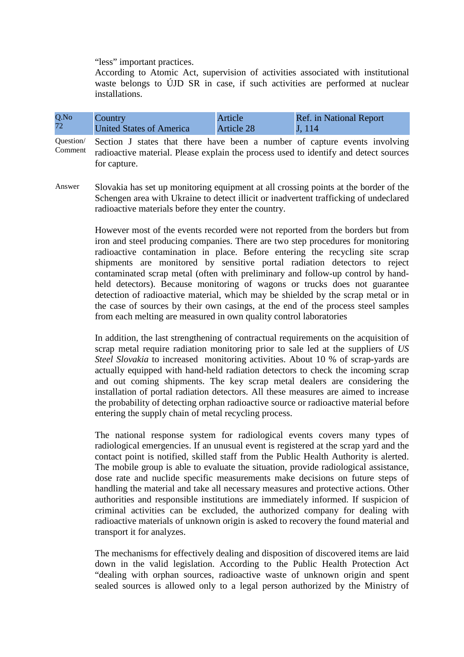"less" important practices.

According to Atomic Act, supervision of activities associated with institutional waste belongs to ÚJD SR in case, if such activities are performed at nuclear installations.

| Q.No | Country                         | Article           | <b>Ref.</b> in National Report |
|------|---------------------------------|-------------------|--------------------------------|
| 72   | <b>United States of America</b> | <b>Article 28</b> | J, 114                         |

Question/ Comment Section J states that there have been a number of capture events involving radioactive material. Please explain the process used to identify and detect sources for capture.

Answer Slovakia has set up monitoring equipment at all crossing points at the border of the Schengen area with Ukraine to detect illicit or inadvertent trafficking of undeclared radioactive materials before they enter the country.

> However most of the events recorded were not reported from the borders but from iron and steel producing companies. There are two step procedures for monitoring radioactive contamination in place. Before entering the recycling site scrap shipments are monitored by sensitive portal radiation detectors to reject contaminated scrap metal (often with preliminary and follow-up control by handheld detectors). Because monitoring of wagons or trucks does not guarantee detection of radioactive material, which may be shielded by the scrap metal or in the case of sources by their own casings, at the end of the process steel samples from each melting are measured in own quality control laboratories

> In addition, the last strengthening of contractual requirements on the acquisition of scrap metal require radiation monitoring prior to sale led at the suppliers of *US Steel Slovakia* to increased monitoring activities. About 10 % of scrap-yards are actually equipped with hand-held radiation detectors to check the incoming scrap and out coming shipments. The key scrap metal dealers are considering the installation of portal radiation detectors. All these measures are aimed to increase the probability of detecting orphan radioactive source or radioactive material before entering the supply chain of metal recycling process.

> The national response system for radiological events covers many types of radiological emergencies. If an unusual event is registered at the scrap yard and the contact point is notified, skilled staff from the Public Health Authority is alerted. The mobile group is able to evaluate the situation, provide radiological assistance, dose rate and nuclide specific measurements make decisions on future steps of handling the material and take all necessary measures and protective actions. Other authorities and responsible institutions are immediately informed. If suspicion of criminal activities can be excluded, the authorized company for dealing with radioactive materials of unknown origin is asked to recovery the found material and transport it for analyzes.

> The mechanisms for effectively dealing and disposition of discovered items are laid down in the valid legislation. According to the Public Health Protection Act "dealing with orphan sources, radioactive waste of unknown origin and spent sealed sources is allowed only to a legal person authorized by the Ministry of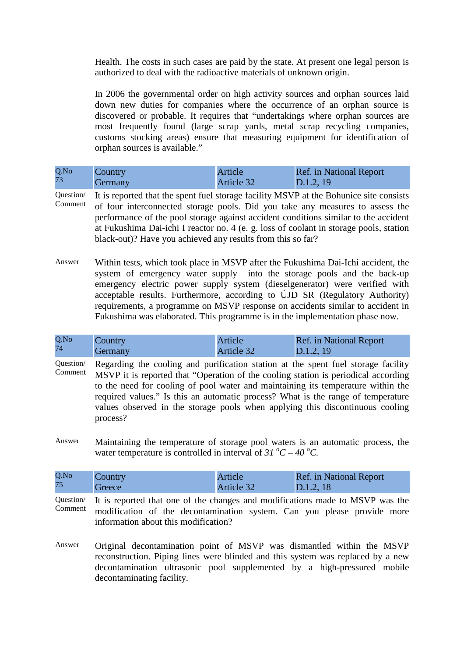Health. The costs in such cases are paid by the state. At present one legal person is authorized to deal with the radioactive materials of unknown origin.

In 2006 the governmental order on high activity sources and orphan sources laid down new duties for companies where the occurrence of an orphan source is discovered or probable. It requires that "undertakings where orphan sources are most frequently found (large scrap yards, metal scrap recycling companies, customs stocking areas) ensure that measuring equipment for identification of orphan sources is available."

| Q.No | Country        | Article    | <b>Ref.</b> in National Report |
|------|----------------|------------|--------------------------------|
| 73   | <b>Germany</b> | Article 32 | D.1.2, 19                      |

- Question/ Comment It is reported that the spent fuel storage facility MSVP at the Bohunice site consists of four interconnected storage pools. Did you take any measures to assess the performance of the pool storage against accident conditions similar to the accident at Fukushima Dai-ichi I reactor no. 4 (e. g. loss of coolant in storage pools, station black-out)? Have you achieved any results from this so far?
- Answer Within tests, which took place in MSVP after the Fukushima Dai-Ichi accident, the system of emergency water supply into the storage pools and the back-up emergency electric power supply system (dieselgenerator) were verified with acceptable results. Furthermore, according to ÚJD SR (Regulatory Authority) requirements, a programme on MSVP response on accidents similar to accident in Fukushima was elaborated. This programme is in the implementation phase now.

| Q.No | Country                                                                                                                                                                                               | Article    | <b>Ref.</b> in National Report |
|------|-------------------------------------------------------------------------------------------------------------------------------------------------------------------------------------------------------|------------|--------------------------------|
| 74   | Germany                                                                                                                                                                                               | Article 32 | D.1.2, 19                      |
|      | Question Regarding the cooling and purification station at the spent fuel storage facility<br>Comment $M(YD)$ is in an extended that " $O($ exaction of the souther station is not direct association |            |                                |

Comment MSVP it is reported that "Operation of the cooling station is periodical according to the need for cooling of pool water and maintaining its temperature within the required values." Is this an automatic process? What is the range of temperature values observed in the storage pools when applying this discontinuous cooling process?

Answer Maintaining the temperature of storage pool waters is an automatic process, the water temperature is controlled in interval of 31  $^{\circ}C - 40^{\circ}C$ .

| Q.No | Country | Article    | <b>Ref.</b> in National Report |
|------|---------|------------|--------------------------------|
| 75   | Greece  | Article 32 | D.1.2, 18                      |

Question/ Comment It is reported that one of the changes and modifications made to MSVP was the modification of the decontamination system. Can you please provide more information about this modification?

Answer Original decontamination point of MSVP was dismantled within the MSVP reconstruction. Piping lines were blinded and this system was replaced by a new decontamination ultrasonic pool supplemented by a high-pressured mobile decontaminating facility.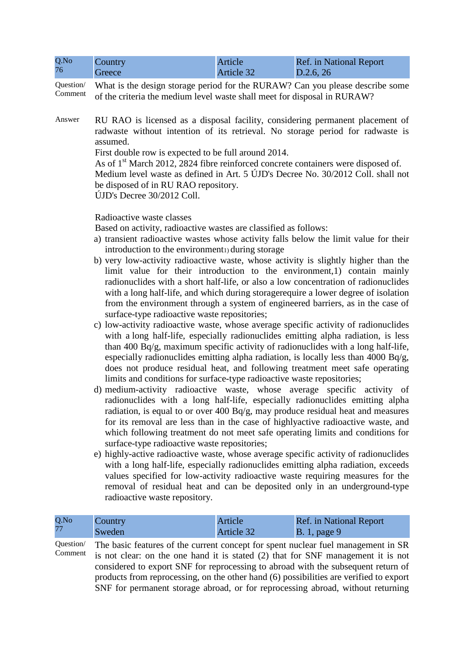| Q.No | Country | Article    | <b>Ref.</b> in National Report |
|------|---------|------------|--------------------------------|
| 76   | Greece  | Article 32 | D.2.6, 26                      |

Question/ Comment What is the design storage period for the RURAW? Can you please describe some of the criteria the medium level waste shall meet for disposal in RURAW?

Answer RU RAO is licensed as a disposal facility, considering permanent placement of radwaste without intention of its retrieval. No storage period for radwaste is assumed.

First double row is expected to be full around 2014.

As of 1<sup>st</sup> March 2012, 2824 fibre reinforced concrete containers were disposed of. Medium level waste as defined in Art. 5 ÚJD's Decree No. 30/2012 Coll. shall not be disposed of in RU RAO repository. ÚJD's Decree 30/2012 Coll.

Radioactive waste classes

Based on activity, radioactive wastes are classified as follows:

- a) transient radioactive wastes whose activity falls below the limit value for their introduction to the environment<sub>1</sub>) during storage
- b) very low-activity radioactive waste, whose activity is slightly higher than the limit value for their introduction to the environment,1) contain mainly radionuclides with a short half-life, or also a low concentration of radionuclides with a long half-life, and which during storagerequire a lower degree of isolation from the environment through a system of engineered barriers, as in the case of surface-type radioactive waste repositories;
- c) low-activity radioactive waste, whose average specific activity of radionuclides with a long half-life, especially radionuclides emitting alpha radiation, is less than 400 Bq/g, maximum specific activity of radionuclides with a long half-life, especially radionuclides emitting alpha radiation, is locally less than 4000  $Bq/g$ , does not produce residual heat, and following treatment meet safe operating limits and conditions for surface-type radioactive waste repositories;
- d) medium-activity radioactive waste, whose average specific activity of radionuclides with a long half-life, especially radionuclides emitting alpha radiation, is equal to or over 400 Bq/g, may produce residual heat and measures for its removal are less than in the case of highlyactive radioactive waste, and which following treatment do not meet safe operating limits and conditions for surface-type radioactive waste repositories;
- e) highly-active radioactive waste, whose average specific activity of radionuclides with a long half-life, especially radionuclides emitting alpha radiation, exceeds values specified for low-activity radioactive waste requiring measures for the removal of residual heat and can be deposited only in an underground-type radioactive waste repository.

| Q.No | Country | Article    | <b>Ref.</b> in National Report |
|------|---------|------------|--------------------------------|
| 77   | Sweden  | Article 32 | $\vert$ B. 1, page 9           |

Question/ Comment The basic features of the current concept for spent nuclear fuel management in SR is not clear: on the one hand it is stated (2) that for SNF management it is not considered to export SNF for reprocessing to abroad with the subsequent return of products from reprocessing, on the other hand (6) possibilities are verified to export SNF for permanent storage abroad, or for reprocessing abroad, without returning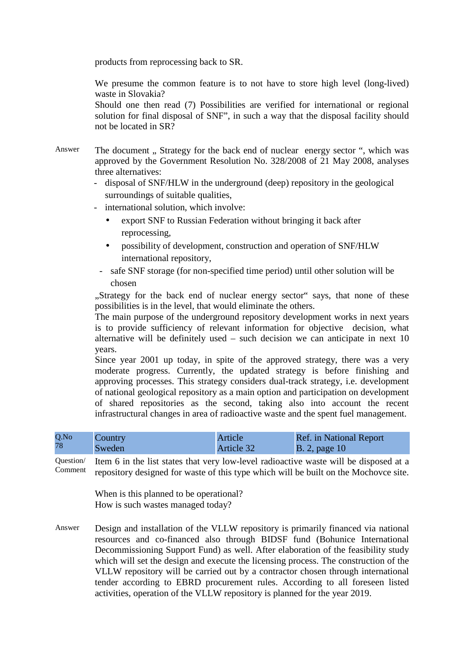products from reprocessing back to SR.

We presume the common feature is to not have to store high level (long-lived) waste in Slovakia?

Should one then read (7) Possibilities are verified for international or regional solution for final disposal of SNF", in such a way that the disposal facility should not be located in SR?

- Answer The document ., Strategy for the back end of nuclear energy sector ", which was approved by the Government Resolution No. 328/2008 of 21 May 2008, analyses three alternatives:
	- disposal of SNF/HLW in the underground (deep) repository in the geological surroundings of suitable qualities,
	- international solution, which involve:
		- export SNF to Russian Federation without bringing it back after reprocessing,
		- possibility of development, construction and operation of SNF/HLW international repository,
		- safe SNF storage (for non-specified time period) until other solution will be chosen

...Strategy for the back end of nuclear energy sector says, that none of these possibilities is in the level, that would eliminate the others.

The main purpose of the underground repository development works in next years is to provide sufficiency of relevant information for objective decision, what alternative will be definitely used – such decision we can anticipate in next 10 years.

Since year 2001 up today, in spite of the approved strategy, there was a very moderate progress. Currently, the updated strategy is before finishing and approving processes. This strategy considers dual-track strategy, i.e. development of national geological repository as a main option and participation on development of shared repositories as the second, taking also into account the recent infrastructural changes in area of radioactive waste and the spent fuel management.

| Q.No | Country | Article    | <b>Ref.</b> in National Report |
|------|---------|------------|--------------------------------|
| 78   | Sweden  | Article 32 | $ B. 2$ , page 10              |

Question/ Comment Item 6 in the list states that very low-level radioactive waste will be disposed at a repository designed for waste of this type which will be built on the Mochovce site.

> When is this planned to be operational? How is such wastes managed today?

Answer Design and installation of the VLLW repository is primarily financed via national resources and co-financed also through BIDSF fund (Bohunice International Decommissioning Support Fund) as well. After elaboration of the feasibility study which will set the design and execute the licensing process. The construction of the VLLW repository will be carried out by a contractor chosen through international tender according to EBRD procurement rules. According to all foreseen listed activities, operation of the VLLW repository is planned for the year 2019.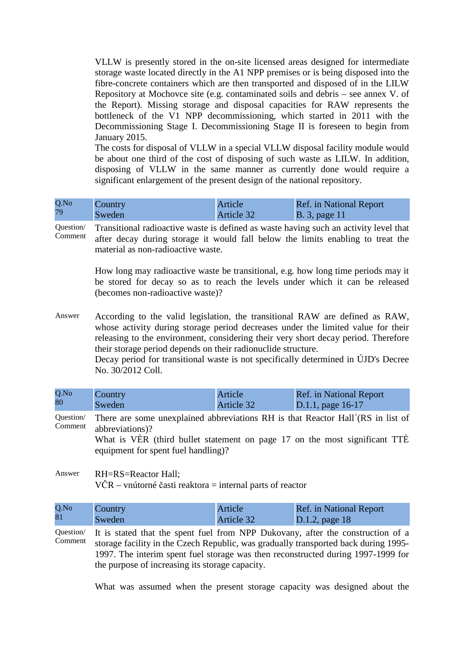VLLW is presently stored in the on-site licensed areas designed for intermediate storage waste located directly in the A1 NPP premises or is being disposed into the fibre-concrete containers which are then transported and disposed of in the LILW Repository at Mochovce site (e.g. contaminated soils and debris – see annex V. of the Report). Missing storage and disposal capacities for RAW represents the bottleneck of the V1 NPP decommissioning, which started in 2011 with the Decommissioning Stage I. Decommissioning Stage II is foreseen to begin from January 2015.

The costs for disposal of VLLW in a special VLLW disposal facility module would be about one third of the cost of disposing of such waste as LILW. In addition, disposing of VLLW in the same manner as currently done would require a significant enlargement of the present design of the national repository.

| Q.No | Country | Article    | Ref. in National Report |
|------|---------|------------|-------------------------|
| 79   | Sweden  | Article 32 | <b>B.</b> 3, page 11    |

Question/ Comment Transitional radioactive waste is defined as waste having such an activity level that after decay during storage it would fall below the limits enabling to treat the material as non-radioactive waste.

> How long may radioactive waste be transitional, e.g. how long time periods may it be stored for decay so as to reach the levels under which it can be released (becomes non-radioactive waste)?

Answer According to the valid legislation, the transitional RAW are defined as RAW, whose activity during storage period decreases under the limited value for their releasing to the environment, considering their very short decay period. Therefore their storage period depends on their radionuclide structure.

> Decay period for transitional waste is not specifically determined in ÚJD's Decree No. 30/2012 Coll.

| Q.No                 | Country | Article    | <b>Ref.</b> in National Report |
|----------------------|---------|------------|--------------------------------|
| 80                   | Sweden  | Article 32 | $\sqrt{D.1.1}$ , page 16-17    |
| $\sim$ $\sim$ $\sim$ |         |            | $\mathbf{r}$                   |

Question/ Comment There are some unexplained abbreviations RH is that Reactor Hall´(RS in list of abbreviations)?

What is VÈR (third bullet statement on page 17 on the most significant TTE equipment for spent fuel handling)?

Answer RH=RS=Reactor Hall;  $VCR - \text{vnútorné časti reaktora} = \text{internal parts of reactor}$ 

| Q.No | Country | <b>Article</b> | Ref. in National Report |
|------|---------|----------------|-------------------------|
| 81   | Sweden  | Article 32     | D.1.2, page $18$        |

Question/ Comment It is stated that the spent fuel from NPP Dukovany, after the construction of a storage facility in the Czech Republic, was gradually transported back during 1995- 1997. The interim spent fuel storage was then reconstructed during 1997-1999 for the purpose of increasing its storage capacity.

What was assumed when the present storage capacity was designed about the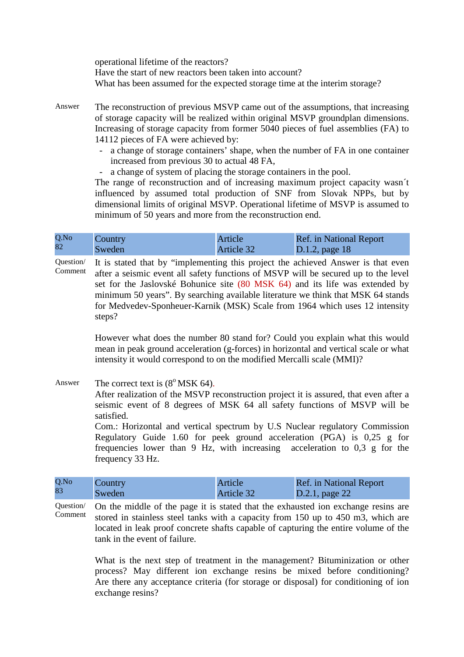operational lifetime of the reactors? Have the start of new reactors been taken into account? What has been assumed for the expected storage time at the interim storage?

- Answer The reconstruction of previous MSVP came out of the assumptions, that increasing of storage capacity will be realized within original MSVP groundplan dimensions. Increasing of storage capacity from former 5040 pieces of fuel assemblies (FA) to 14112 pieces of FA were achieved by:
	- a change of storage containers' shape, when the number of FA in one container increased from previous 30 to actual 48 FA,
	- a change of system of placing the storage containers in the pool.

The range of reconstruction and of increasing maximum project capacity wasn´t influenced by assumed total production of SNF from Slovak NPPs, but by dimensional limits of original MSVP. Operational lifetime of MSVP is assumed to minimum of 50 years and more from the reconstruction end.

| Q.No | Country | Article    | <b>Ref.</b> in National Report |
|------|---------|------------|--------------------------------|
| 82   | Sweden  | Article 32 | D.1.2, page $18$               |

Question/ Comment It is stated that by "implementing this project the achieved Answer is that even after a seismic event all safety functions of MSVP will be secured up to the level set for the Jaslovské Bohunice site (80 MSK 64) and its life was extended by minimum 50 years". By searching available literature we think that MSK 64 stands for Medvedev-Sponheuer-Karnik (MSK) Scale from 1964 which uses 12 intensity steps?

> However what does the number 80 stand for? Could you explain what this would mean in peak ground acceleration (g-forces) in horizontal and vertical scale or what intensity it would correspond to on the modified Mercalli scale (MMI)?

Answer The correct text is  $(8^{\circ}$  MSK 64).

After realization of the MSVP reconstruction project it is assured, that even after a seismic event of 8 degrees of MSK 64 all safety functions of MSVP will be satisfied.

Com.: Horizontal and vertical spectrum by U.S Nuclear regulatory Commission Regulatory Guide 1.60 for peek ground acceleration (PGA) is 0,25 g for frequencies lower than 9 Hz, with increasing acceleration to 0,3 g for the frequency 33 Hz.

| Q.No | Country | Article    | <b>Ref.</b> in National Report |
|------|---------|------------|--------------------------------|
| 83   | Sweden  | Article 32 | D.2.1, page 22                 |

Question/ Comment On the middle of the page it is stated that the exhausted ion exchange resins are stored in stainless steel tanks with a capacity from 150 up to 450 m3, which are located in leak proof concrete shafts capable of capturing the entire volume of the tank in the event of failure.

> What is the next step of treatment in the management? Bituminization or other process? May different ion exchange resins be mixed before conditioning? Are there any acceptance criteria (for storage or disposal) for conditioning of ion exchange resins?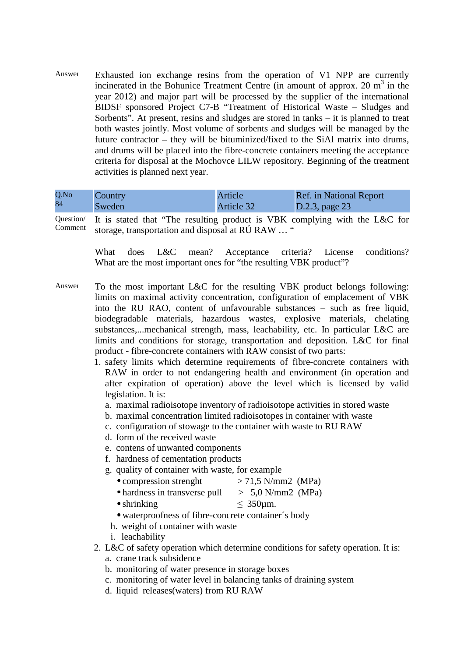Answer Exhausted ion exchange resins from the operation of V1 NPP are currently incinerated in the Bohunice Treatment Centre (in amount of approx. 20  $m<sup>3</sup>$  in the year 2012) and major part will be processed by the supplier of the international BIDSF sponsored Project C7-B "Treatment of Historical Waste – Sludges and Sorbents". At present, resins and sludges are stored in tanks – it is planned to treat both wastes jointly. Most volume of sorbents and sludges will be managed by the future contractor – they will be bituminized/fixed to the SiAl matrix into drums, and drums will be placed into the fibre-concrete containers meeting the acceptance criteria for disposal at the Mochovce LILW repository. Beginning of the treatment activities is planned next year.

| Q.No | Country | Article    | <b>Ref.</b> in National Report |
|------|---------|------------|--------------------------------|
| 84   | Sweden  | Article 32 | D.2.3, page 23                 |

Question/

Comment It is stated that "The resulting product is VBK complying with the L&C for storage, transportation and disposal at RÚ RAW … "

> What does L&C mean? Acceptance criteria? License conditions? What are the most important ones for "the resulting VBK product"?

- Answer To the most important L&C for the resulting VBK product belongs following: limits on maximal activity concentration, configuration of emplacement of VBK into the RU RAO, content of unfavourable substances – such as free liquid, biodegradable materials, hazardous wastes, explosive materials, chelating substances,...mechanical strength, mass, leachability, etc. In particular L&C are limits and conditions for storage, transportation and deposition. L&C for final product - fibre-concrete containers with RAW consist of two parts:
	- 1. safety limits which determine requirements of fibre-concrete containers with RAW in order to not endangering health and environment (in operation and after expiration of operation) above the level which is licensed by valid legislation. It is:
		- a. maximal radioisotope inventory of radioisotope activities in stored waste
		- b. maximal concentration limited radioisotopes in container with waste
		- c. configuration of stowage to the container with waste to RU RAW
		- d. form of the received waste
		- e. contens of unwanted components
		- f. hardness of cementation products
		- g. quality of container with waste, for example
			- compression strenght  $> 71,5$  N/mm2 (MPa)
			- hardness in transverse pull  $> 5.0$  N/mm2 (MPa)
			- shrinking  $\leq 350 \mu \text{m}$ .
			- waterproofness of fibre-concrete container´s body
			- h. weight of container with waste
		- i. leachability
	- 2. L&C of safety operation which determine conditions for safety operation. It is:
		- a. crane track subsidence
		- b. monitoring of water presence in storage boxes
		- c. monitoring of water level in balancing tanks of draining system
		- d. liquid releases(waters) from RU RAW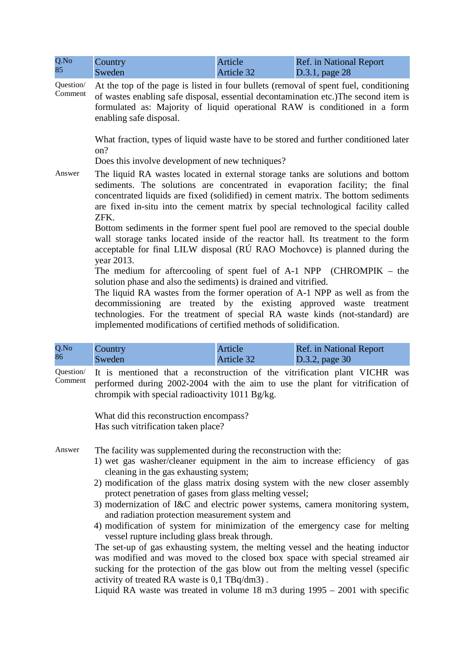| Q.No | Country | Article    | <b>Ref.</b> in National Report |
|------|---------|------------|--------------------------------|
| 85   | Sweden  | Article 32 | $D.3.1$ , page 28              |

Question/ Comment At the top of the page is listed in four bullets (removal of spent fuel, conditioning of wastes enabling safe disposal, essential decontamination etc.)The second item is formulated as: Majority of liquid operational RAW is conditioned in a form enabling safe disposal.

> What fraction, types of liquid waste have to be stored and further conditioned later on?

Does this involve development of new techniques?

Answer The liquid RA wastes located in external storage tanks are solutions and bottom sediments. The solutions are concentrated in evaporation facility; the final concentrated liquids are fixed (solidified) in cement matrix. The bottom sediments are fixed in-situ into the cement matrix by special technological facility called ZFK.

> Bottom sediments in the former spent fuel pool are removed to the special double wall storage tanks located inside of the reactor hall. Its treatment to the form acceptable for final LILW disposal (RÚ RAO Mochovce) is planned during the year 2013.

> The medium for aftercooling of spent fuel of A-1 NPP (CHROMPIK – the solution phase and also the sediments) is drained and vitrified.

> The liquid RA wastes from the former operation of A-1 NPP as well as from the decommissioning are treated by the existing approved waste treatment technologies. For the treatment of special RA waste kinds (not-standard) are implemented modifications of certified methods of solidification.

| Q.No | Country | Article    | <b>Ref.</b> in National Report |
|------|---------|------------|--------------------------------|
| 86   | Sweden  | Article 32 | D.3.2, page 30                 |

Question/ Comment It is mentioned that a reconstruction of the vitrification plant VICHR was performed during 2002-2004 with the aim to use the plant for vitrification of chrompik with special radioactivity 1011 Bg/kg.

> What did this reconstruction encompass? Has such vitrification taken place?

Answer The facility was supplemented during the reconstruction with the:

- 1) wet gas washer/cleaner equipment in the aim to increase efficiency of gas cleaning in the gas exhausting system;
- 2) modification of the glass matrix dosing system with the new closer assembly protect penetration of gases from glass melting vessel;
- 3) modernization of I&C and electric power systems, camera monitoring system, and radiation protection measurement system and
- 4) modification of system for minimization of the emergency case for melting vessel rupture including glass break through.

The set-up of gas exhausting system, the melting vessel and the heating inductor was modified and was moved to the closed box space with special streamed air sucking for the protection of the gas blow out from the melting vessel (specific activity of treated RA waste is 0,1 TBq/dm3) .

Liquid RA waste was treated in volume 18 m3 during 1995 – 2001 with specific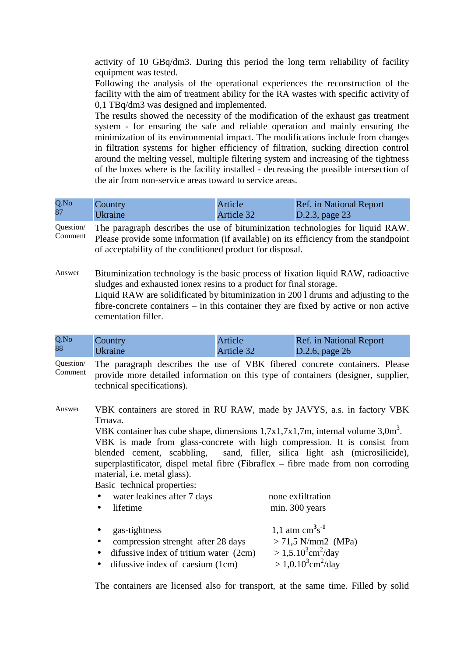activity of 10 GBq/dm3. During this period the long term reliability of facility equipment was tested.

Following the analysis of the operational experiences the reconstruction of the facility with the aim of treatment ability for the RA wastes with specific activity of 0,1 TBq/dm3 was designed and implemented.

The results showed the necessity of the modification of the exhaust gas treatment system - for ensuring the safe and reliable operation and mainly ensuring the minimization of its environmental impact. The modifications include from changes in filtration systems for higher efficiency of filtration, sucking direction control around the melting vessel, multiple filtering system and increasing of the tightness of the boxes where is the facility installed - decreasing the possible intersection of the air from non-service areas toward to service areas.

| Q.No | Country        | Article    | Ref. in National Report |
|------|----------------|------------|-------------------------|
| 87   | <i>Ukraine</i> | Article 32 | D.2.3, page $23$        |

| Question/ The paragraph describes the use of bituminization technologies for liquid RAW.     |
|----------------------------------------------------------------------------------------------|
| Comment Please provide some information (if available) on its efficiency from the standpoint |
| of acceptability of the conditioned product for disposal.                                    |

Answer Bituminization technology is the basic process of fixation liquid RAW, radioactive sludges and exhausted ionex resins to a product for final storage. Liquid RAW are solidificated by bituminization in 200 l drums and adjusting to the fibre-concrete containers – in this container they are fixed by active or non active cementation filler.

| Q.No | Country        | Article    | <b>Ref.</b> in National Report |
|------|----------------|------------|--------------------------------|
| 88   | <b>Ukraine</b> | Article 32 | D.2.6, page $26$               |

Question/ Comment The paragraph describes the use of VBK fibered concrete containers. Please provide more detailed information on this type of containers (designer, supplier, technical specifications).

Answer VBK containers are stored in RU RAW, made by JAVYS, a.s. in factory VBK Trnava.

VBK container has cube shape, dimensions  $1,7x1,7x1,7m$ , internal volume  $3,0m^3$ .

VBK is made from glass-concrete with high compression. It is consist from blended cement, scabbling, sand, filler, silica light ash (microsilicide), superplastificator, dispel metal fibre (Fibraflex – fibre made from non corroding material, i.e. metal glass).

Basic technical properties:

| water leakines after 7 days<br>$\bullet$<br>lifetime<br>$\bullet$                                                                                                                  | none exfiltration<br>min. 300 years                                                                                                          |
|------------------------------------------------------------------------------------------------------------------------------------------------------------------------------------|----------------------------------------------------------------------------------------------------------------------------------------------|
| gas-tightness<br>$\bullet$<br>compression strenght after 28 days<br>$\bullet$<br>difussive index of tritium water (2cm)<br>$\bullet$<br>$\bullet$ difussive index of caesium (1cm) | 1,1 atm $\text{cm}^3\text{s}^{-1}$<br>$> 71,5 \text{ N/mm2}$ (MPa)<br>$> 1,5.10^3$ cm <sup>2</sup> /day<br>$> 1,0.10^3$ cm <sup>2</sup> /day |

The containers are licensed also for transport, at the same time. Filled by solid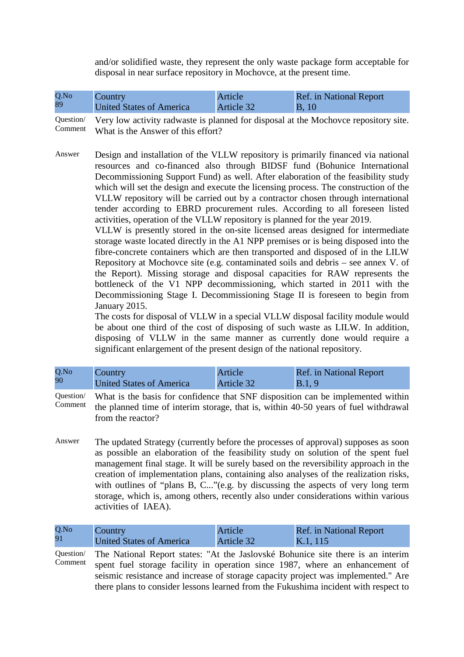and/or solidified waste, they represent the only waste package form acceptable for disposal in near surface repository in Mochovce, at the present time.

| Q.No | Country                         | Article    | <b>Ref.</b> in National Report |
|------|---------------------------------|------------|--------------------------------|
| 89   | <b>United States of America</b> | Article 32 | <b>B</b> , 10                  |

Question/ Comment Very low activity radwaste is planned for disposal at the Mochovce repository site. What is the Answer of this effort?

Answer Design and installation of the VLLW repository is primarily financed via national resources and co-financed also through BIDSF fund (Bohunice International Decommissioning Support Fund) as well. After elaboration of the feasibility study which will set the design and execute the licensing process. The construction of the VLLW repository will be carried out by a contractor chosen through international tender according to EBRD procurement rules. According to all foreseen listed activities, operation of the VLLW repository is planned for the year 2019.

> VLLW is presently stored in the on-site licensed areas designed for intermediate storage waste located directly in the A1 NPP premises or is being disposed into the fibre-concrete containers which are then transported and disposed of in the LILW Repository at Mochovce site (e.g. contaminated soils and debris – see annex V. of the Report). Missing storage and disposal capacities for RAW represents the bottleneck of the V1 NPP decommissioning, which started in 2011 with the Decommissioning Stage I. Decommissioning Stage II is foreseen to begin from January 2015.

> The costs for disposal of VLLW in a special VLLW disposal facility module would be about one third of the cost of disposing of such waste as LILW. In addition, disposing of VLLW in the same manner as currently done would require a significant enlargement of the present design of the national repository.

Question/ Comment What is the basis for confidence that SNF disposition can be implemented within the planned time of interim storage, that is, within 40-50 years of fuel withdrawal from the reactor?

Answer The updated Strategy (currently before the processes of approval) supposes as soon as possible an elaboration of the feasibility study on solution of the spent fuel management final stage. It will be surely based on the reversibility approach in the creation of implementation plans, containing also analyses of the realization risks, with outlines of "plans B, C..."(e.g. by discussing the aspects of very long term storage, which is, among others, recently also under considerations within various activities of IAEA).

| $Q$ .No | Country                  | Article    | <b>Ref.</b> in National Report |
|---------|--------------------------|------------|--------------------------------|
| 91      | United States of America | Article 32 | K.1, 115                       |

Question/ Comment The National Report states: "At the Jaslovské Bohunice site there is an interim spent fuel storage facility in operation since 1987, where an enhancement of seismic resistance and increase of storage capacity project was implemented." Are there plans to consider lessons learned from the Fukushima incident with respect to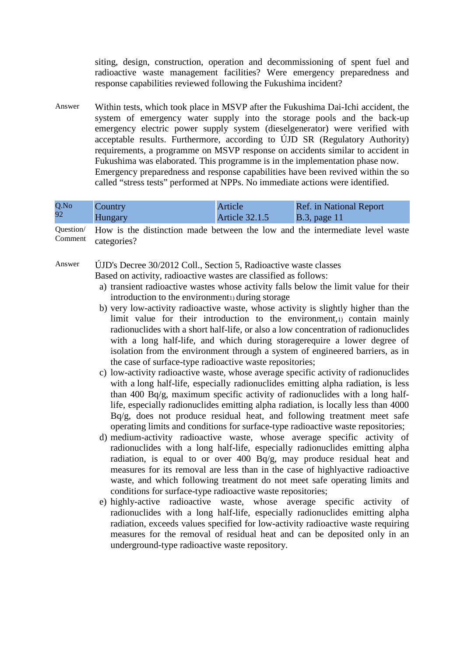siting, design, construction, operation and decommissioning of spent fuel and radioactive waste management facilities? Were emergency preparedness and response capabilities reviewed following the Fukushima incident?

Answer Within tests, which took place in MSVP after the Fukushima Dai-Ichi accident, the system of emergency water supply into the storage pools and the back-up emergency electric power supply system (dieselgenerator) were verified with acceptable results. Furthermore, according to ÚJD SR (Regulatory Authority) requirements, a programme on MSVP response on accidents similar to accident in Fukushima was elaborated. This programme is in the implementation phase now. Emergency preparedness and response capabilities have been revived within the so called "stress tests" performed at NPPs. No immediate actions were identified.

| Q.No | Country        | Article               | <b>Ref.</b> in National Report |
|------|----------------|-----------------------|--------------------------------|
| 92   | <b>Hungary</b> | <b>Article 32.1.5</b> | $\vert$ B.3, page 11           |

Question/ Comment How is the distinction made between the low and the intermediate level waste categories?

Answer ÚJD's Decree 30/2012 Coll., Section 5, Radioactive waste classes Based on activity, radioactive wastes are classified as follows:

- a) transient radioactive wastes whose activity falls below the limit value for their introduction to the environment during storage
- b) very low-activity radioactive waste, whose activity is slightly higher than the limit value for their introduction to the environment,1) contain mainly radionuclides with a short half-life, or also a low concentration of radionuclides with a long half-life, and which during storagerequire a lower degree of isolation from the environment through a system of engineered barriers, as in the case of surface-type radioactive waste repositories;
- c) low-activity radioactive waste, whose average specific activity of radionuclides with a long half-life, especially radionuclides emitting alpha radiation, is less than 400 Bq/g, maximum specific activity of radionuclides with a long halflife, especially radionuclides emitting alpha radiation, is locally less than 4000 Bq/g, does not produce residual heat, and following treatment meet safe operating limits and conditions for surface-type radioactive waste repositories;
- d) medium-activity radioactive waste, whose average specific activity of radionuclides with a long half-life, especially radionuclides emitting alpha radiation, is equal to or over 400 Bq/g, may produce residual heat and measures for its removal are less than in the case of highlyactive radioactive waste, and which following treatment do not meet safe operating limits and conditions for surface-type radioactive waste repositories;
- e) highly-active radioactive waste, whose average specific activity of radionuclides with a long half-life, especially radionuclides emitting alpha radiation, exceeds values specified for low-activity radioactive waste requiring measures for the removal of residual heat and can be deposited only in an underground-type radioactive waste repository.